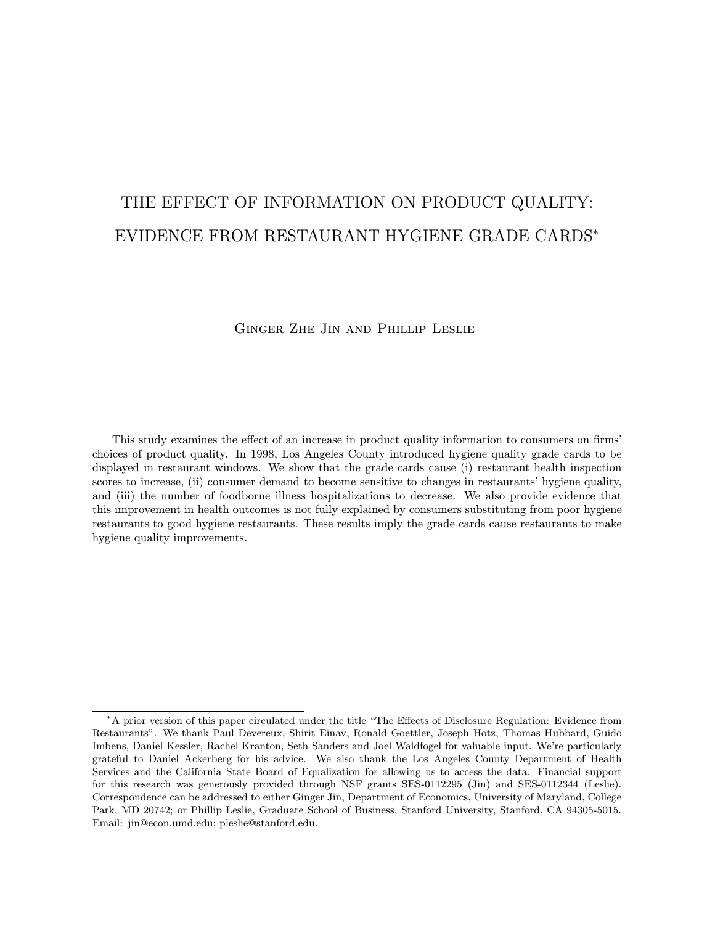# THE EFFECT OF INFORMATION ON PRODUCT QUALITY: EVIDENCE FROM RESTAURANT HYGIENE GRADE CARDS<sup>∗</sup>

Ginger Zhe Jin and Phillip Leslie

This study examines the effect of an increase in product quality information to consumers on firms' choices of product quality. In 1998, Los Angeles County introduced hygiene quality grade cards to be displayed in restaurant windows. We show that the grade cards cause (i) restaurant health inspection scores to increase, (ii) consumer demand to become sensitive to changes in restaurants' hygiene quality, and (iii) the number of foodborne illness hospitalizations to decrease. We also provide evidence that this improvement in health outcomes is not fully explained by consumers substituting from poor hygiene restaurants to good hygiene restaurants. These results imply the grade cards cause restaurants to make hygiene quality improvements.

<sup>∗</sup>A prior version of this paper circulated under the title "The Effects of Disclosure Regulation: Evidence from Restaurants". We thank Paul Devereux, Shirit Einav, Ronald Goettler, Joseph Hotz, Thomas Hubbard, Guido Imbens, Daniel Kessler, Rachel Kranton, Seth Sanders and Joel Waldfogel for valuable input. We're particularly grateful to Daniel Ackerberg for his advice. We also thank the Los Angeles County Department of Health Services and the California State Board of Equalization for allowing us to access the data. Financial support for this research was generously provided through NSF grants SES-0112295 (Jin) and SES-0112344 (Leslie). Correspondence can be addressed to either Ginger Jin, Department of Economics, University of Maryland, College Park, MD 20742; or Phillip Leslie, Graduate School of Business, Stanford University, Stanford, CA 94305-5015. Email: jin@econ.umd.edu; pleslie@stanford.edu.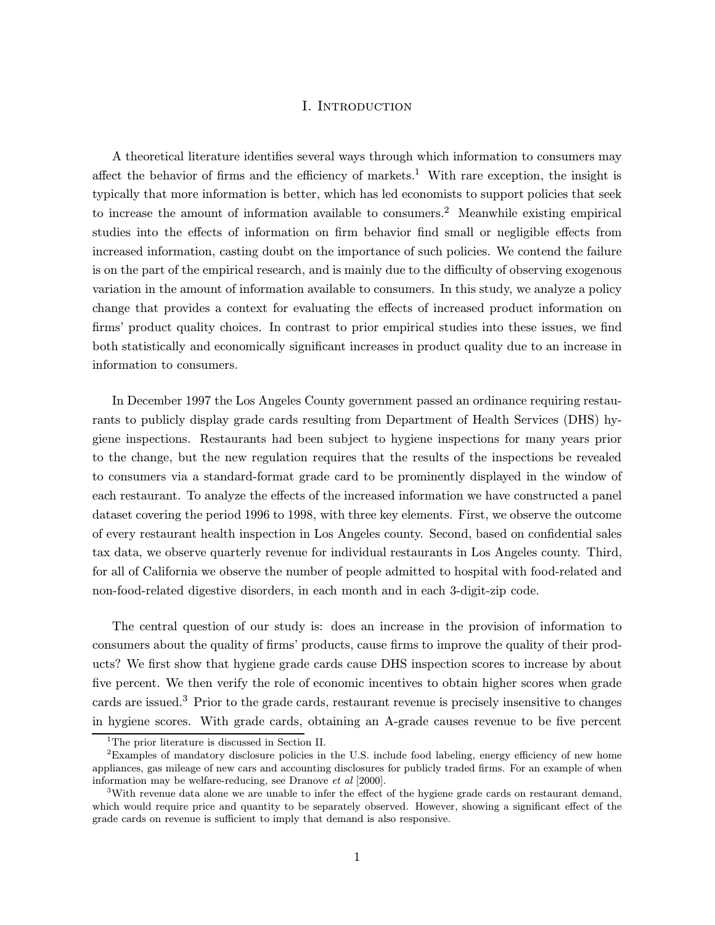#### I. Introduction

A theoretical literature identifies several ways through which information to consumers may affect the behavior of firms and the efficiency of markets.<sup>1</sup> With rare exception, the insight is typically that more information is better, which has led economists to support policies that seek to increase the amount of information available to consumers.<sup>2</sup> Meanwhile existing empirical studies into the effects of information on firm behavior find small or negligible effects from increased information, casting doubt on the importance of such policies. We contend the failure is on the part of the empirical research, and is mainly due to the difficulty of observing exogenous variation in the amount of information available to consumers. In this study, we analyze a policy change that provides a context for evaluating the effects of increased product information on firms' product quality choices. In contrast to prior empirical studies into these issues, we find both statistically and economically significant increases in product quality due to an increase in information to consumers.

In December 1997 the Los Angeles County government passed an ordinance requiring restaurants to publicly display grade cards resulting from Department of Health Services (DHS) hygiene inspections. Restaurants had been subject to hygiene inspections for many years prior to the change, but the new regulation requires that the results of the inspections be revealed to consumers via a standard-format grade card to be prominently displayed in the window of each restaurant. To analyze the effects of the increased information we have constructed a panel dataset covering the period 1996 to 1998, with three key elements. First, we observe the outcome of every restaurant health inspection in Los Angeles county. Second, based on confidential sales tax data, we observe quarterly revenue for individual restaurants in Los Angeles county. Third, for all of California we observe the number of people admitted to hospital with food-related and non-food-related digestive disorders, in each month and in each 3-digit-zip code.

The central question of our study is: does an increase in the provision of information to consumers about the quality of firms' products, cause firms to improve the quality of their products? We first show that hygiene grade cards cause DHS inspection scores to increase by about five percent. We then verify the role of economic incentives to obtain higher scores when grade cards are issued.<sup>3</sup> Prior to the grade cards, restaurant revenue is precisely insensitive to changes in hygiene scores. With grade cards, obtaining an A-grade causes revenue to be five percent

<sup>&</sup>lt;sup>1</sup>The prior literature is discussed in Section II.

<sup>&</sup>lt;sup>2</sup>Examples of mandatory disclosure policies in the U.S. include food labeling, energy efficiency of new home appliances, gas mileage of new cars and accounting disclosures for publicly traded firms. For an example of when information may be welfare-reducing, see Dranove et al [2000].

<sup>&</sup>lt;sup>3</sup>With revenue data alone we are unable to infer the effect of the hygiene grade cards on restaurant demand, which would require price and quantity to be separately observed. However, showing a significant effect of the grade cards on revenue is sufficient to imply that demand is also responsive.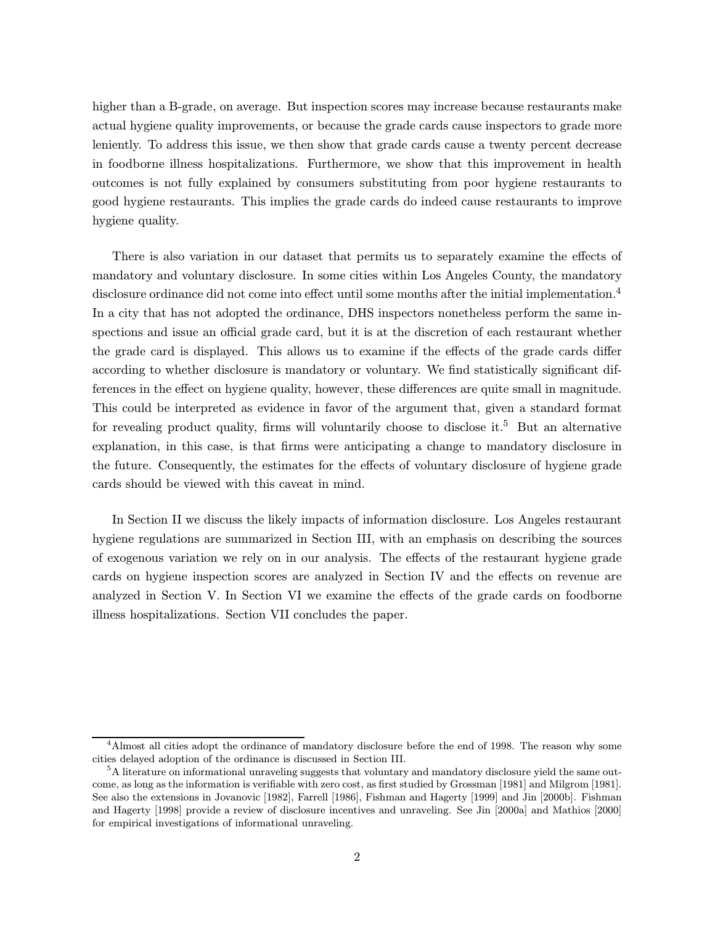higher than a B-grade, on average. But inspection scores may increase because restaurants make actual hygiene quality improvements, or because the grade cards cause inspectors to grade more leniently. To address this issue, we then show that grade cards cause a twenty percent decrease in foodborne illness hospitalizations. Furthermore, we show that this improvement in health outcomes is not fully explained by consumers substituting from poor hygiene restaurants to good hygiene restaurants. This implies the grade cards do indeed cause restaurants to improve hygiene quality.

There is also variation in our dataset that permits us to separately examine the effects of mandatory and voluntary disclosure. In some cities within Los Angeles County, the mandatory disclosure ordinance did not come into effect until some months after the initial implementation.<sup>4</sup> In a city that has not adopted the ordinance, DHS inspectors nonetheless perform the same inspections and issue an official grade card, but it is at the discretion of each restaurant whether the grade card is displayed. This allows us to examine if the effects of the grade cards differ according to whether disclosure is mandatory or voluntary. We find statistically significant differences in the effect on hygiene quality, however, these differences are quite small in magnitude. This could be interpreted as evidence in favor of the argument that, given a standard format for revealing product quality, firms will voluntarily choose to disclose it.<sup>5</sup> But an alternative explanation, in this case, is that firms were anticipating a change to mandatory disclosure in the future. Consequently, the estimates for the effects of voluntary disclosure of hygiene grade cards should be viewed with this caveat in mind.

In Section II we discuss the likely impacts of information disclosure. Los Angeles restaurant hygiene regulations are summarized in Section III, with an emphasis on describing the sources of exogenous variation we rely on in our analysis. The effects of the restaurant hygiene grade cards on hygiene inspection scores are analyzed in Section IV and the effects on revenue are analyzed in Section V. In Section VI we examine the effects of the grade cards on foodborne illness hospitalizations. Section VII concludes the paper.

<sup>&</sup>lt;sup>4</sup>Almost all cities adopt the ordinance of mandatory disclosure before the end of 1998. The reason why some cities delayed adoption of the ordinance is discussed in Section III.

<sup>5</sup>A literature on informational unraveling suggests that voluntary and mandatory disclosure yield the same outcome, as long as the information is verifiable with zero cost, as first studied by Grossman [1981] and Milgrom [1981]. See also the extensions in Jovanovic [1982], Farrell [1986], Fishman and Hagerty [1999] and Jin [2000b]. Fishman and Hagerty [1998] provide a review of disclosure incentives and unraveling. See Jin [2000a] and Mathios [2000] for empirical investigations of informational unraveling.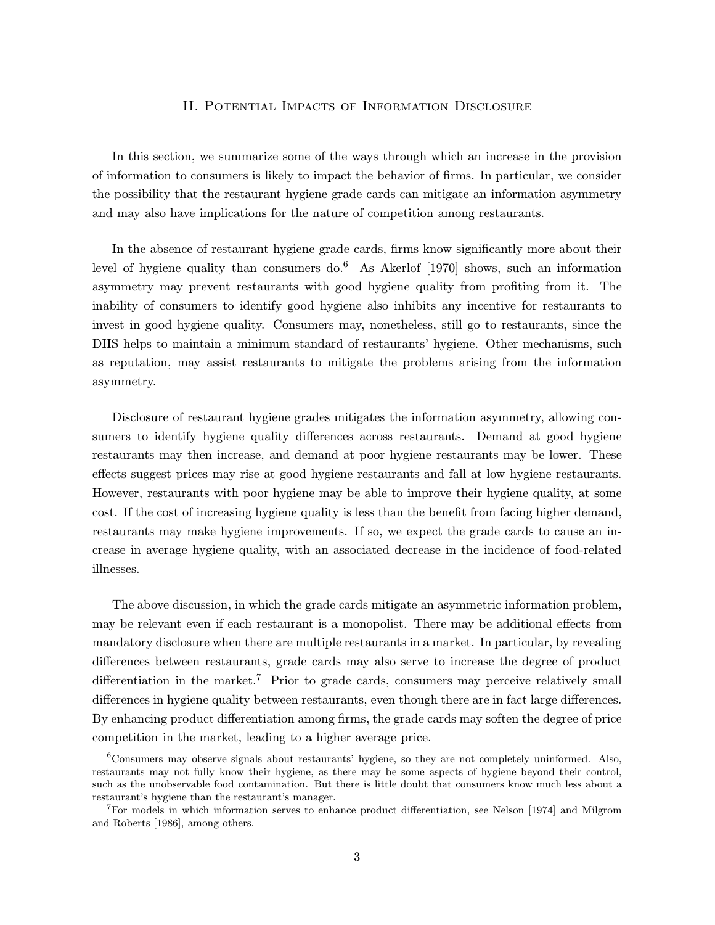#### II. Potential Impacts of Information Disclosure

In this section, we summarize some of the ways through which an increase in the provision of information to consumers is likely to impact the behavior of firms. In particular, we consider the possibility that the restaurant hygiene grade cards can mitigate an information asymmetry and may also have implications for the nature of competition among restaurants.

In the absence of restaurant hygiene grade cards, firms know significantly more about their level of hygiene quality than consumers do.<sup>6</sup> As Akerlof [1970] shows, such an information asymmetry may prevent restaurants with good hygiene quality from profiting from it. The inability of consumers to identify good hygiene also inhibits any incentive for restaurants to invest in good hygiene quality. Consumers may, nonetheless, still go to restaurants, since the DHS helps to maintain a minimum standard of restaurants' hygiene. Other mechanisms, such as reputation, may assist restaurants to mitigate the problems arising from the information asymmetry.

Disclosure of restaurant hygiene grades mitigates the information asymmetry, allowing consumers to identify hygiene quality differences across restaurants. Demand at good hygiene restaurants may then increase, and demand at poor hygiene restaurants may be lower. These effects suggest prices may rise at good hygiene restaurants and fall at low hygiene restaurants. However, restaurants with poor hygiene may be able to improve their hygiene quality, at some cost. If the cost of increasing hygiene quality is less than the benefit from facing higher demand, restaurants may make hygiene improvements. If so, we expect the grade cards to cause an increase in average hygiene quality, with an associated decrease in the incidence of food-related illnesses.

The above discussion, in which the grade cards mitigate an asymmetric information problem, may be relevant even if each restaurant is a monopolist. There may be additional effects from mandatory disclosure when there are multiple restaurants in a market. In particular, by revealing differences between restaurants, grade cards may also serve to increase the degree of product differentiation in the market.<sup>7</sup> Prior to grade cards, consumers may perceive relatively small differences in hygiene quality between restaurants, even though there are in fact large differences. By enhancing product differentiation among firms, the grade cards may soften the degree of price competition in the market, leading to a higher average price.

 $6$ Consumers may observe signals about restaurants' hygiene, so they are not completely uninformed. Also, restaurants may not fully know their hygiene, as there may be some aspects of hygiene beyond their control, such as the unobservable food contamination. But there is little doubt that consumers know much less about a restaurant's hygiene than the restaurant's manager.

<sup>7</sup>For models in which information serves to enhance product differentiation, see Nelson [1974] and Milgrom and Roberts [1986], among others.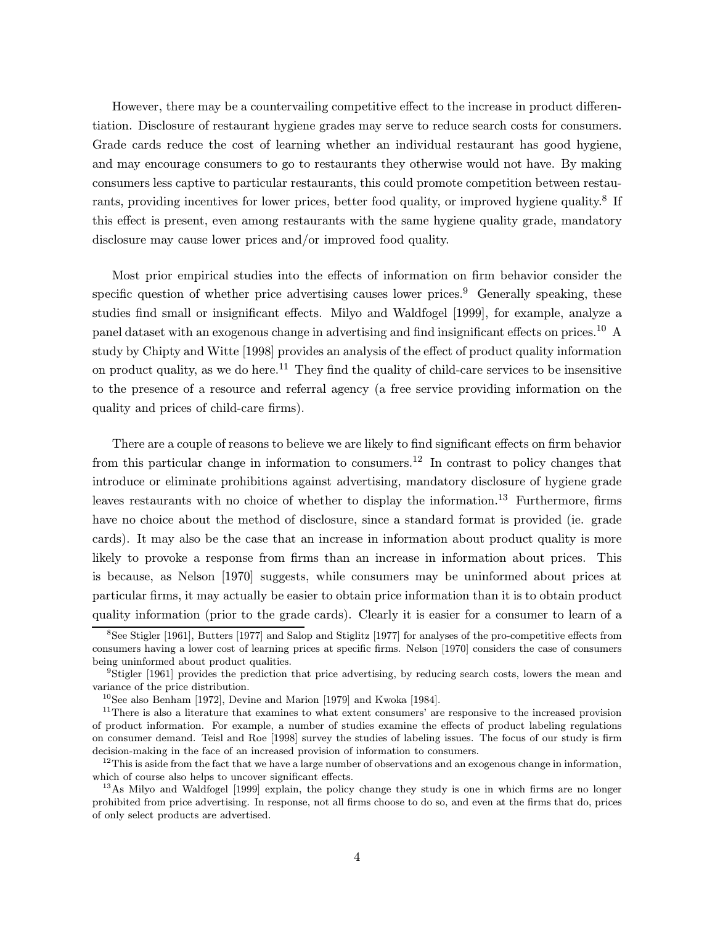However, there may be a countervailing competitive effect to the increase in product differentiation. Disclosure of restaurant hygiene grades may serve to reduce search costs for consumers. Grade cards reduce the cost of learning whether an individual restaurant has good hygiene, and may encourage consumers to go to restaurants they otherwise would not have. By making consumers less captive to particular restaurants, this could promote competition between restaurants, providing incentives for lower prices, better food quality, or improved hygiene quality.<sup>8</sup> If this effect is present, even among restaurants with the same hygiene quality grade, mandatory disclosure may cause lower prices and/or improved food quality.

Most prior empirical studies into the effects of information on firm behavior consider the specific question of whether price advertising causes lower prices.<sup>9</sup> Generally speaking, these studies find small or insignificant effects. Milyo and Waldfogel [1999], for example, analyze a panel dataset with an exogenous change in advertising and find insignificant effects on prices.<sup>10</sup> A study by Chipty and Witte [1998] provides an analysis of the effect of product quality information on product quality, as we do here.<sup>11</sup> They find the quality of child-care services to be insensitive to the presence of a resource and referral agency (a free service providing information on the quality and prices of child-care firms).

There are a couple of reasons to believe we are likely to find significant effects on firm behavior from this particular change in information to consumers.<sup>12</sup> In contrast to policy changes that introduce or eliminate prohibitions against advertising, mandatory disclosure of hygiene grade leaves restaurants with no choice of whether to display the information.<sup>13</sup> Furthermore, firms have no choice about the method of disclosure, since a standard format is provided (ie. grade cards). It may also be the case that an increase in information about product quality is more likely to provoke a response from firms than an increase in information about prices. This is because, as Nelson [1970] suggests, while consumers may be uninformed about prices at particular firms, it may actually be easier to obtain price information than it is to obtain product quality information (prior to the grade cards). Clearly it is easier for a consumer to learn of a

<sup>8</sup>See Stigler [1961], Butters [1977] and Salop and Stiglitz [1977] for analyses of the pro-competitive effects from consumers having a lower cost of learning prices at specific firms. Nelson [1970] considers the case of consumers being uninformed about product qualities.

<sup>9</sup>Stigler [1961] provides the prediction that price advertising, by reducing search costs, lowers the mean and variance of the price distribution.

 $10$ See also Benham [1972], Devine and Marion [1979] and Kwoka [1984].

<sup>&</sup>lt;sup>11</sup>There is also a literature that examines to what extent consumers' are responsive to the increased provision of product information. For example, a number of studies examine the effects of product labeling regulations on consumer demand. Teisl and Roe [1998] survey the studies of labeling issues. The focus of our study is firm decision-making in the face of an increased provision of information to consumers.

 $12$ This is aside from the fact that we have a large number of observations and an exogenous change in information, which of course also helps to uncover significant effects.

<sup>&</sup>lt;sup>13</sup>As Milyo and Waldfogel [1999] explain, the policy change they study is one in which firms are no longer prohibited from price advertising. In response, not all firms choose to do so, and even at the firms that do, prices of only select products are advertised.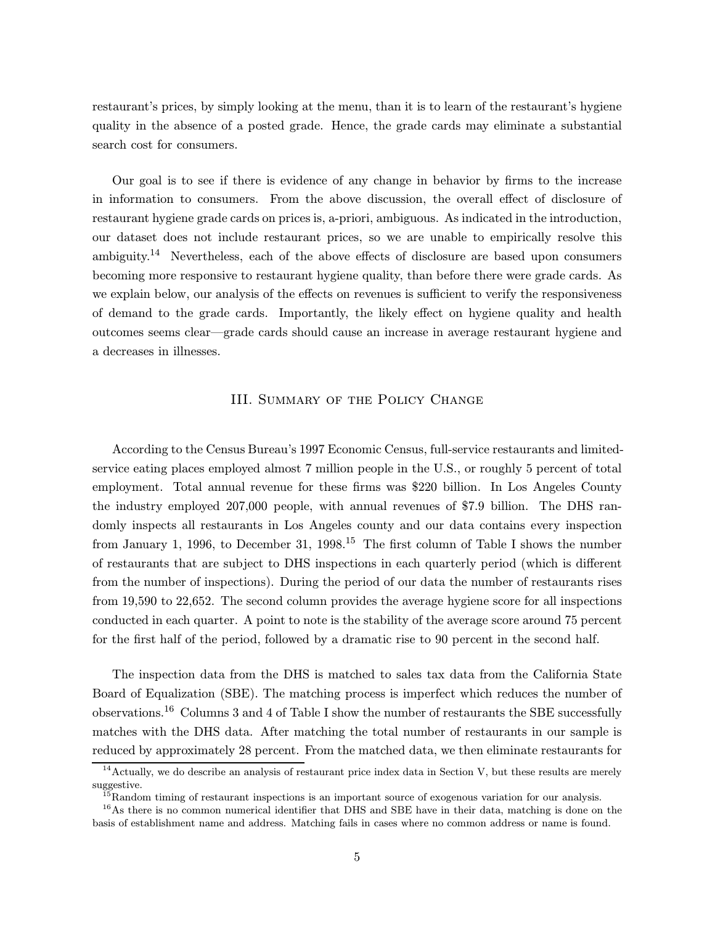restaurant's prices, by simply looking at the menu, than it is to learn of the restaurant's hygiene quality in the absence of a posted grade. Hence, the grade cards may eliminate a substantial search cost for consumers.

Our goal is to see if there is evidence of any change in behavior by firms to the increase in information to consumers. From the above discussion, the overall effect of disclosure of restaurant hygiene grade cards on prices is, a-priori, ambiguous. As indicated in the introduction, our dataset does not include restaurant prices, so we are unable to empirically resolve this ambiguity.<sup>14</sup> Nevertheless, each of the above effects of disclosure are based upon consumers becoming more responsive to restaurant hygiene quality, than before there were grade cards. As we explain below, our analysis of the effects on revenues is sufficient to verify the responsiveness of demand to the grade cards. Importantly, the likely effect on hygiene quality and health outcomes seems clear—grade cards should cause an increase in average restaurant hygiene and a decreases in illnesses.

### III. Summary of the Policy Change

According to the Census Bureau's 1997 Economic Census, full-service restaurants and limitedservice eating places employed almost 7 million people in the U.S., or roughly 5 percent of total employment. Total annual revenue for these firms was \$220 billion. In Los Angeles County the industry employed 207,000 people, with annual revenues of \$7.9 billion. The DHS randomly inspects all restaurants in Los Angeles county and our data contains every inspection from January 1, 1996, to December 31, 1998.<sup>15</sup> The first column of Table I shows the number of restaurants that are subject to DHS inspections in each quarterly period (which is different from the number of inspections). During the period of our data the number of restaurants rises from 19,590 to 22,652. The second column provides the average hygiene score for all inspections conducted in each quarter. A point to note is the stability of the average score around 75 percent for the first half of the period, followed by a dramatic rise to 90 percent in the second half.

The inspection data from the DHS is matched to sales tax data from the California State Board of Equalization (SBE). The matching process is imperfect which reduces the number of observations.<sup>16</sup> Columns 3 and 4 of Table I show the number of restaurants the SBE successfully matches with the DHS data. After matching the total number of restaurants in our sample is reduced by approximately 28 percent. From the matched data, we then eliminate restaurants for

 $14$ Actually, we do describe an analysis of restaurant price index data in Section V, but these results are merely suggestive.

<sup>&</sup>lt;sup>15</sup>Random timing of restaurant inspections is an important source of exogenous variation for our analysis.

<sup>&</sup>lt;sup>16</sup>As there is no common numerical identifier that DHS and SBE have in their data, matching is done on the basis of establishment name and address. Matching fails in cases where no common address or name is found.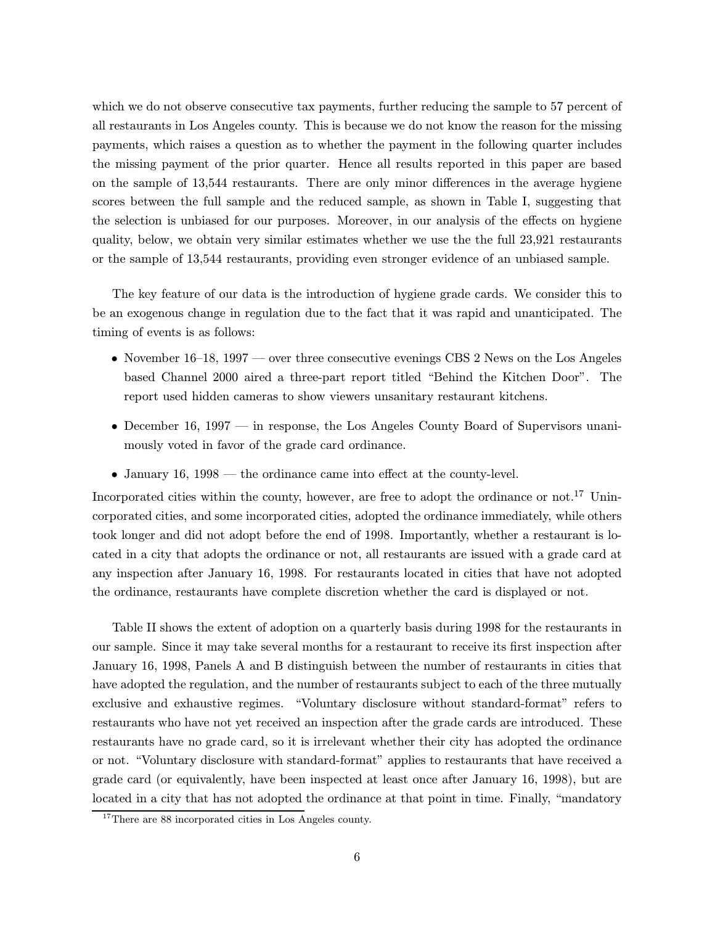which we do not observe consecutive tax payments, further reducing the sample to 57 percent of all restaurants in Los Angeles county. This is because we do not know the reason for the missing payments, which raises a question as to whether the payment in the following quarter includes the missing payment of the prior quarter. Hence all results reported in this paper are based on the sample of 13,544 restaurants. There are only minor differences in the average hygiene scores between the full sample and the reduced sample, as shown in Table I, suggesting that the selection is unbiased for our purposes. Moreover, in our analysis of the effects on hygiene quality, below, we obtain very similar estimates whether we use the the full 23,921 restaurants or the sample of 13,544 restaurants, providing even stronger evidence of an unbiased sample.

The key feature of our data is the introduction of hygiene grade cards. We consider this to be an exogenous change in regulation due to the fact that it was rapid and unanticipated. The timing of events is as follows:

- November 16–18, 1997 over three consecutive evenings CBS 2 News on the Los Angeles based Channel 2000 aired a three-part report titled "Behind the Kitchen Door". The report used hidden cameras to show viewers unsanitary restaurant kitchens.
- December 16, 1997 in response, the Los Angeles County Board of Supervisors unanimously voted in favor of the grade card ordinance.
- January 16, 1998 the ordinance came into effect at the county-level.

Incorporated cities within the county, however, are free to adopt the ordinance or not.<sup>17</sup> Unincorporated cities, and some incorporated cities, adopted the ordinance immediately, while others took longer and did not adopt before the end of 1998. Importantly, whether a restaurant is located in a city that adopts the ordinance or not, all restaurants are issued with a grade card at any inspection after January 16, 1998. For restaurants located in cities that have not adopted the ordinance, restaurants have complete discretion whether the card is displayed or not.

Table II shows the extent of adoption on a quarterly basis during 1998 for the restaurants in our sample. Since it may take several months for a restaurant to receive its first inspection after January 16, 1998, Panels A and B distinguish between the number of restaurants in cities that have adopted the regulation, and the number of restaurants subject to each of the three mutually exclusive and exhaustive regimes. "Voluntary disclosure without standard-format" refers to restaurants who have not yet received an inspection after the grade cards are introduced. These restaurants have no grade card, so it is irrelevant whether their city has adopted the ordinance or not. "Voluntary disclosure with standard-format" applies to restaurants that have received a grade card (or equivalently, have been inspected at least once after January 16, 1998), but are located in a city that has not adopted the ordinance at that point in time. Finally, "mandatory

<sup>&</sup>lt;sup>17</sup>There are 88 incorporated cities in Los Angeles county.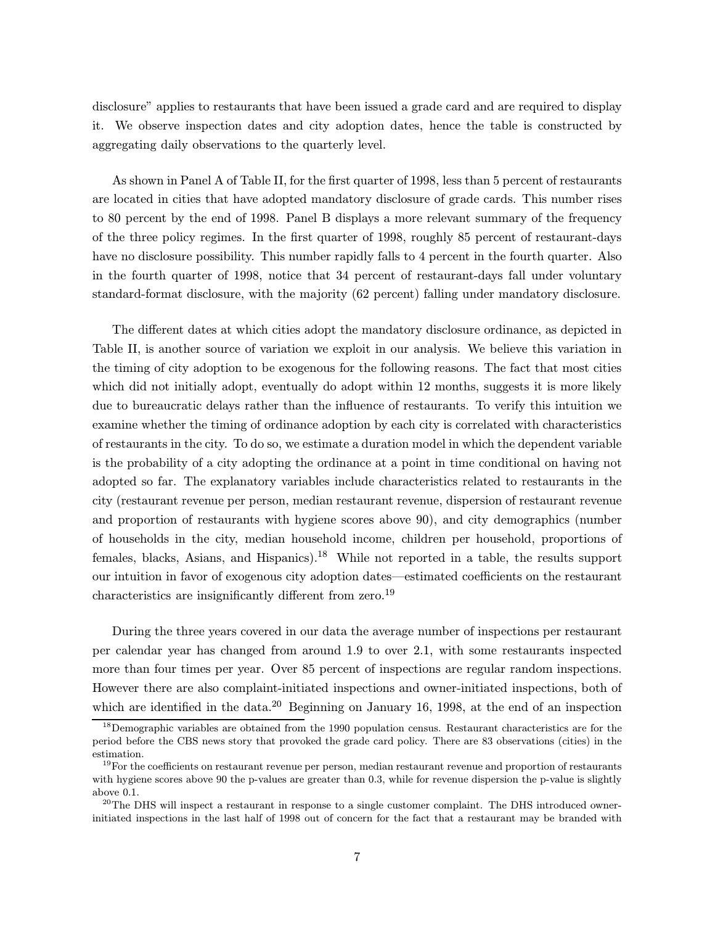disclosure" applies to restaurants that have been issued a grade card and are required to display it. We observe inspection dates and city adoption dates, hence the table is constructed by aggregating daily observations to the quarterly level.

As shown in Panel A of Table II, for the first quarter of 1998, less than 5 percent of restaurants are located in cities that have adopted mandatory disclosure of grade cards. This number rises to 80 percent by the end of 1998. Panel B displays a more relevant summary of the frequency of the three policy regimes. In the first quarter of 1998, roughly 85 percent of restaurant-days have no disclosure possibility. This number rapidly falls to 4 percent in the fourth quarter. Also in the fourth quarter of 1998, notice that 34 percent of restaurant-days fall under voluntary standard-format disclosure, with the majority (62 percent) falling under mandatory disclosure.

The different dates at which cities adopt the mandatory disclosure ordinance, as depicted in Table II, is another source of variation we exploit in our analysis. We believe this variation in the timing of city adoption to be exogenous for the following reasons. The fact that most cities which did not initially adopt, eventually do adopt within 12 months, suggests it is more likely due to bureaucratic delays rather than the influence of restaurants. To verify this intuition we examine whether the timing of ordinance adoption by each city is correlated with characteristics of restaurants in the city. To do so, we estimate a duration model in which the dependent variable is the probability of a city adopting the ordinance at a point in time conditional on having not adopted so far. The explanatory variables include characteristics related to restaurants in the city (restaurant revenue per person, median restaurant revenue, dispersion of restaurant revenue and proportion of restaurants with hygiene scores above 90), and city demographics (number of households in the city, median household income, children per household, proportions of females, blacks, Asians, and Hispanics).<sup>18</sup> While not reported in a table, the results support our intuition in favor of exogenous city adoption dates—estimated coefficients on the restaurant characteristics are insignificantly different from zero.<sup>19</sup>

During the three years covered in our data the average number of inspections per restaurant per calendar year has changed from around 1.9 to over 2.1, with some restaurants inspected more than four times per year. Over 85 percent of inspections are regular random inspections. However there are also complaint-initiated inspections and owner-initiated inspections, both of which are identified in the data.<sup>20</sup> Beginning on January 16, 1998, at the end of an inspection

<sup>&</sup>lt;sup>18</sup>Demographic variables are obtained from the 1990 population census. Restaurant characteristics are for the period before the CBS news story that provoked the grade card policy. There are 83 observations (cities) in the estimation.

 $19$ For the coefficients on restaurant revenue per person, median restaurant revenue and proportion of restaurants with hygiene scores above 90 the p-values are greater than 0.3, while for revenue dispersion the p-value is slightly above 0.1.

 $^{20}$ The DHS will inspect a restaurant in response to a single customer complaint. The DHS introduced ownerinitiated inspections in the last half of 1998 out of concern for the fact that a restaurant may be branded with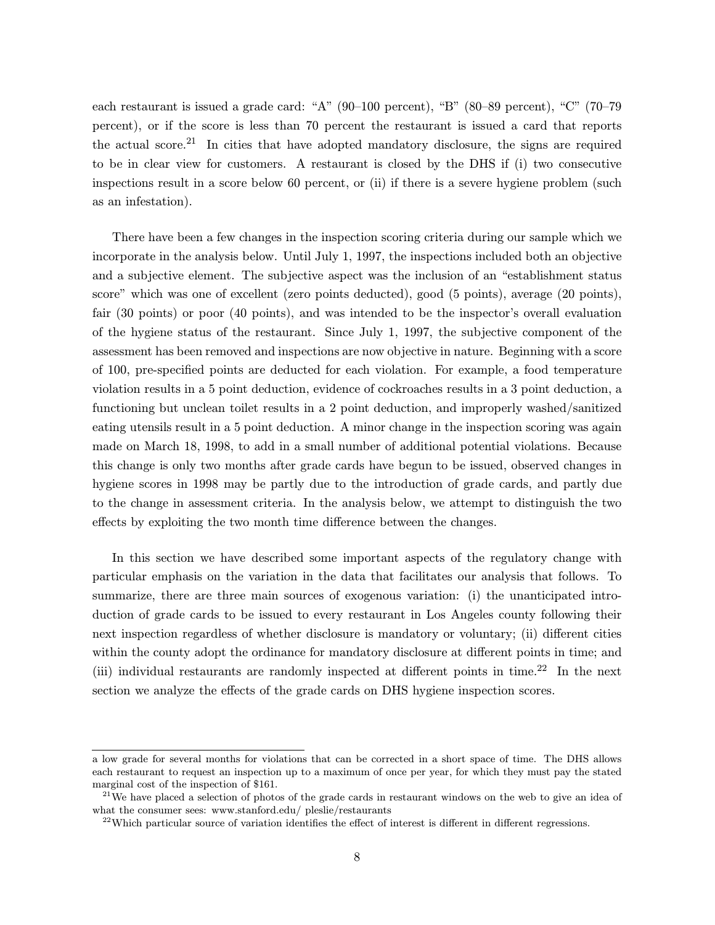each restaurant is issued a grade card: "A" (90–100 percent), "B" (80–89 percent), "C" (70–79 percent), or if the score is less than 70 percent the restaurant is issued a card that reports the actual score.<sup>21</sup> In cities that have adopted mandatory disclosure, the signs are required to be in clear view for customers. A restaurant is closed by the DHS if (i) two consecutive inspections result in a score below 60 percent, or (ii) if there is a severe hygiene problem (such as an infestation).

There have been a few changes in the inspection scoring criteria during our sample which we incorporate in the analysis below. Until July 1, 1997, the inspections included both an objective and a subjective element. The subjective aspect was the inclusion of an "establishment status score" which was one of excellent (zero points deducted), good (5 points), average (20 points), fair (30 points) or poor (40 points), and was intended to be the inspector's overall evaluation of the hygiene status of the restaurant. Since July 1, 1997, the subjective component of the assessment has been removed and inspections are now objective in nature. Beginning with a score of 100, pre-specified points are deducted for each violation. For example, a food temperature violation results in a 5 point deduction, evidence of cockroaches results in a 3 point deduction, a functioning but unclean toilet results in a 2 point deduction, and improperly washed/sanitized eating utensils result in a 5 point deduction. A minor change in the inspection scoring was again made on March 18, 1998, to add in a small number of additional potential violations. Because this change is only two months after grade cards have begun to be issued, observed changes in hygiene scores in 1998 may be partly due to the introduction of grade cards, and partly due to the change in assessment criteria. In the analysis below, we attempt to distinguish the two effects by exploiting the two month time difference between the changes.

In this section we have described some important aspects of the regulatory change with particular emphasis on the variation in the data that facilitates our analysis that follows. To summarize, there are three main sources of exogenous variation: (i) the unanticipated introduction of grade cards to be issued to every restaurant in Los Angeles county following their next inspection regardless of whether disclosure is mandatory or voluntary; (ii) different cities within the county adopt the ordinance for mandatory disclosure at different points in time; and (iii) individual restaurants are randomly inspected at different points in time.<sup>22</sup> In the next section we analyze the effects of the grade cards on DHS hygiene inspection scores.

a low grade for several months for violations that can be corrected in a short space of time. The DHS allows each restaurant to request an inspection up to a maximum of once per year, for which they must pay the stated marginal cost of the inspection of \$161.

 $21$ We have placed a selection of photos of the grade cards in restaurant windows on the web to give an idea of what the consumer sees: www.stanford.edu/ pleslie/restaurants

 $^{22}$ Which particular source of variation identifies the effect of interest is different in different regressions.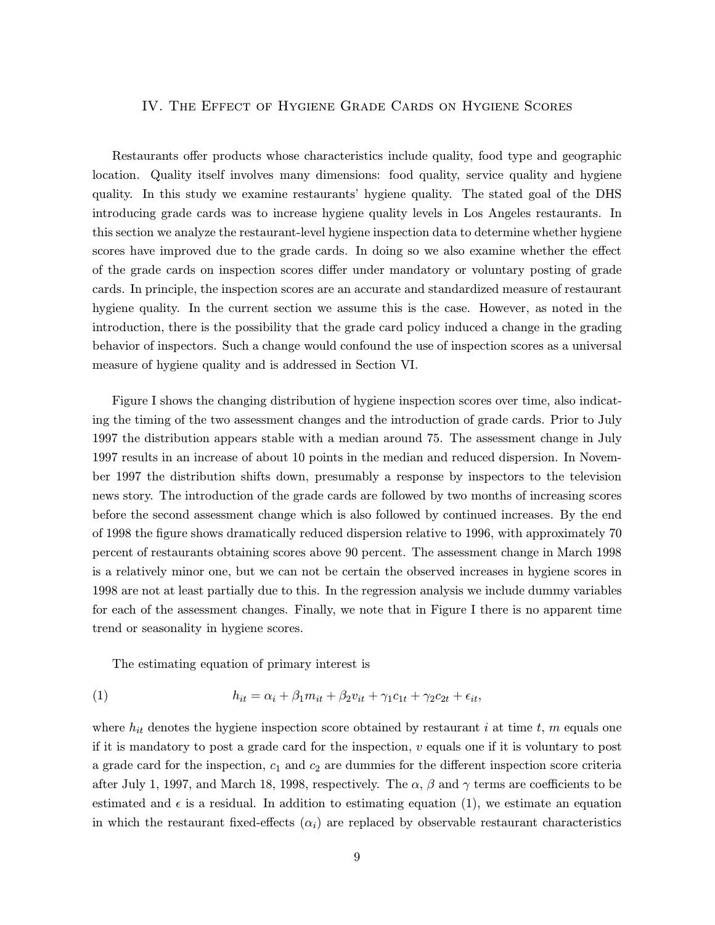#### IV. The Effect of Hygiene Grade Cards on Hygiene Scores

Restaurants offer products whose characteristics include quality, food type and geographic location. Quality itself involves many dimensions: food quality, service quality and hygiene quality. In this study we examine restaurants' hygiene quality. The stated goal of the DHS introducing grade cards was to increase hygiene quality levels in Los Angeles restaurants. In this section we analyze the restaurant-level hygiene inspection data to determine whether hygiene scores have improved due to the grade cards. In doing so we also examine whether the effect of the grade cards on inspection scores differ under mandatory or voluntary posting of grade cards. In principle, the inspection scores are an accurate and standardized measure of restaurant hygiene quality. In the current section we assume this is the case. However, as noted in the introduction, there is the possibility that the grade card policy induced a change in the grading behavior of inspectors. Such a change would confound the use of inspection scores as a universal measure of hygiene quality and is addressed in Section VI.

Figure I shows the changing distribution of hygiene inspection scores over time, also indicating the timing of the two assessment changes and the introduction of grade cards. Prior to July 1997 the distribution appears stable with a median around 75. The assessment change in July 1997 results in an increase of about 10 points in the median and reduced dispersion. In November 1997 the distribution shifts down, presumably a response by inspectors to the television news story. The introduction of the grade cards are followed by two months of increasing scores before the second assessment change which is also followed by continued increases. By the end of 1998 the figure shows dramatically reduced dispersion relative to 1996, with approximately 70 percent of restaurants obtaining scores above 90 percent. The assessment change in March 1998 is a relatively minor one, but we can not be certain the observed increases in hygiene scores in 1998 are not at least partially due to this. In the regression analysis we include dummy variables for each of the assessment changes. Finally, we note that in Figure I there is no apparent time trend or seasonality in hygiene scores.

The estimating equation of primary interest is

$$
(1) \t\t\t\t h_{it} = \alpha_i + \beta_1 m_{it} + \beta_2 v_{it} + \gamma_1 c_{1t} + \gamma_2 c_{2t} + \epsilon_{it},
$$

where  $h_{it}$  denotes the hygiene inspection score obtained by restaurant i at time t, m equals one if it is mandatory to post a grade card for the inspection,  $v$  equals one if it is voluntary to post a grade card for the inspection,  $c_1$  and  $c_2$  are dummies for the different inspection score criteria after July 1, 1997, and March 18, 1998, respectively. The  $\alpha$ ,  $\beta$  and  $\gamma$  terms are coefficients to be estimated and  $\epsilon$  is a residual. In addition to estimating equation (1), we estimate an equation in which the restaurant fixed-effects  $(\alpha_i)$  are replaced by observable restaurant characteristics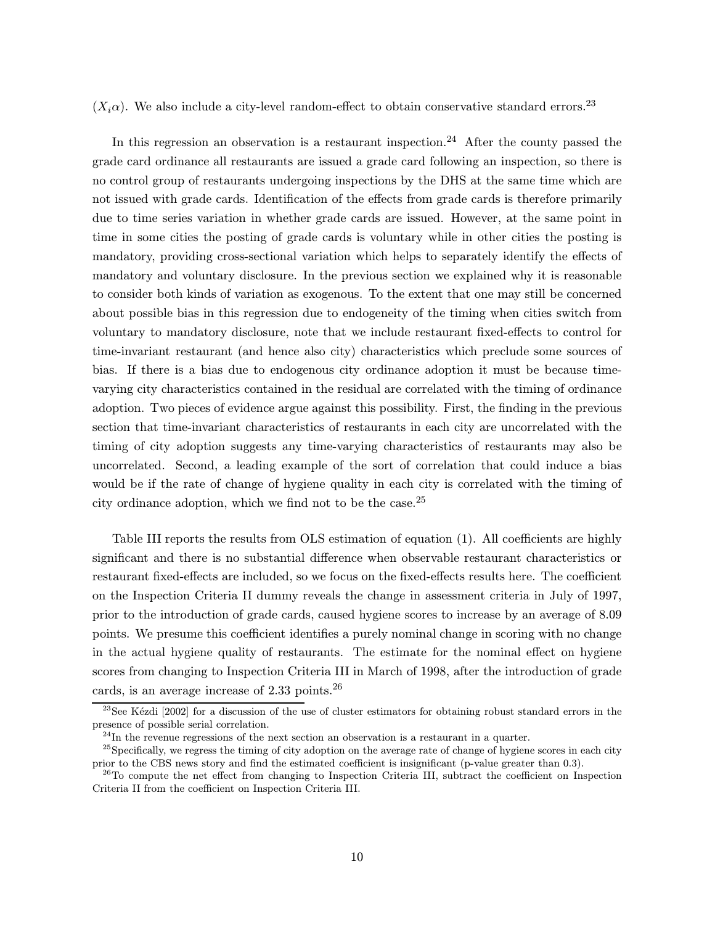$(X_i\alpha)$ . We also include a city-level random-effect to obtain conservative standard errors.<sup>23</sup>

In this regression an observation is a restaurant inspection.<sup>24</sup> After the county passed the grade card ordinance all restaurants are issued a grade card following an inspection, so there is no control group of restaurants undergoing inspections by the DHS at the same time which are not issued with grade cards. Identification of the effects from grade cards is therefore primarily due to time series variation in whether grade cards are issued. However, at the same point in time in some cities the posting of grade cards is voluntary while in other cities the posting is mandatory, providing cross-sectional variation which helps to separately identify the effects of mandatory and voluntary disclosure. In the previous section we explained why it is reasonable to consider both kinds of variation as exogenous. To the extent that one may still be concerned about possible bias in this regression due to endogeneity of the timing when cities switch from voluntary to mandatory disclosure, note that we include restaurant fixed-effects to control for time-invariant restaurant (and hence also city) characteristics which preclude some sources of bias. If there is a bias due to endogenous city ordinance adoption it must be because timevarying city characteristics contained in the residual are correlated with the timing of ordinance adoption. Two pieces of evidence argue against this possibility. First, the finding in the previous section that time-invariant characteristics of restaurants in each city are uncorrelated with the timing of city adoption suggests any time-varying characteristics of restaurants may also be uncorrelated. Second, a leading example of the sort of correlation that could induce a bias would be if the rate of change of hygiene quality in each city is correlated with the timing of city ordinance adoption, which we find not to be the case.<sup>25</sup>

Table III reports the results from OLS estimation of equation (1). All coefficients are highly significant and there is no substantial difference when observable restaurant characteristics or restaurant fixed-effects are included, so we focus on the fixed-effects results here. The coefficient on the Inspection Criteria II dummy reveals the change in assessment criteria in July of 1997, prior to the introduction of grade cards, caused hygiene scores to increase by an average of 8.09 points. We presume this coefficient identifies a purely nominal change in scoring with no change in the actual hygiene quality of restaurants. The estimate for the nominal effect on hygiene scores from changing to Inspection Criteria III in March of 1998, after the introduction of grade cards, is an average increase of 2.33 points.<sup>26</sup>

 $^{23}$ See Kézdi [2002] for a discussion of the use of cluster estimators for obtaining robust standard errors in the presence of possible serial correlation.

 $^{24}$ In the revenue regressions of the next section an observation is a restaurant in a quarter.

 $^{25}$ Specifically, we regress the timing of city adoption on the average rate of change of hygiene scores in each city prior to the CBS news story and find the estimated coefficient is insignificant (p-value greater than 0.3).

<sup>&</sup>lt;sup>26</sup>To compute the net effect from changing to Inspection Criteria III, subtract the coefficient on Inspection Criteria II from the coefficient on Inspection Criteria III.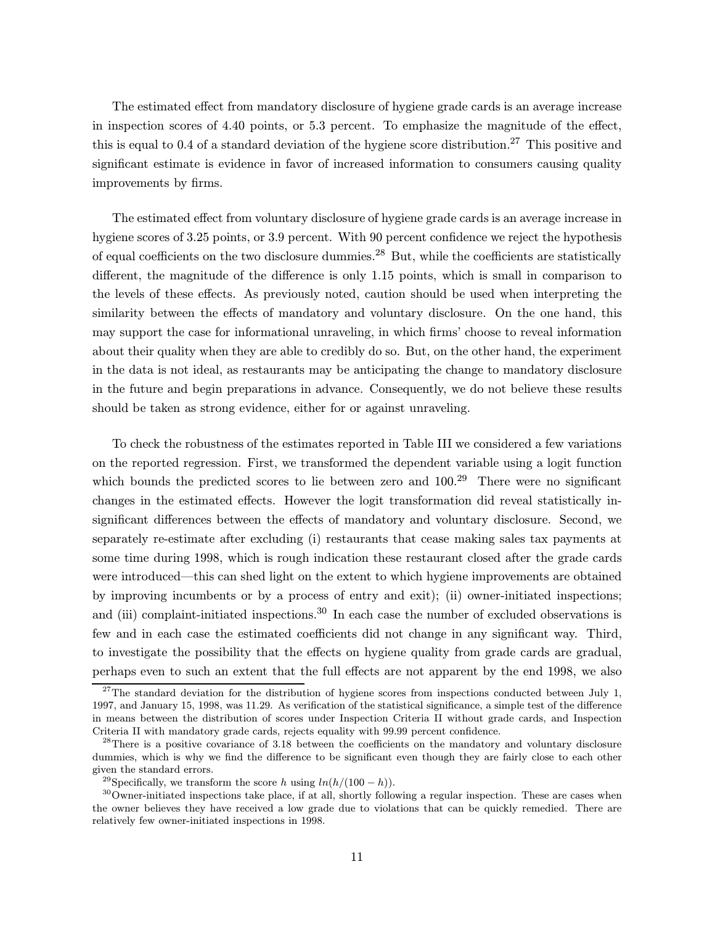The estimated effect from mandatory disclosure of hygiene grade cards is an average increase in inspection scores of 4.40 points, or 5.3 percent. To emphasize the magnitude of the effect, this is equal to 0.4 of a standard deviation of the hygiene score distribution.<sup>27</sup> This positive and significant estimate is evidence in favor of increased information to consumers causing quality improvements by firms.

The estimated effect from voluntary disclosure of hygiene grade cards is an average increase in hygiene scores of 3.25 points, or 3.9 percent. With 90 percent confidence we reject the hypothesis of equal coefficients on the two disclosure dummies.<sup>28</sup> But, while the coefficients are statistically different, the magnitude of the difference is only 1.15 points, which is small in comparison to the levels of these effects. As previously noted, caution should be used when interpreting the similarity between the effects of mandatory and voluntary disclosure. On the one hand, this may support the case for informational unraveling, in which firms' choose to reveal information about their quality when they are able to credibly do so. But, on the other hand, the experiment in the data is not ideal, as restaurants may be anticipating the change to mandatory disclosure in the future and begin preparations in advance. Consequently, we do not believe these results should be taken as strong evidence, either for or against unraveling.

To check the robustness of the estimates reported in Table III we considered a few variations on the reported regression. First, we transformed the dependent variable using a logit function which bounds the predicted scores to lie between zero and  $100<sup>29</sup>$  There were no significant changes in the estimated effects. However the logit transformation did reveal statistically insignificant differences between the effects of mandatory and voluntary disclosure. Second, we separately re-estimate after excluding (i) restaurants that cease making sales tax payments at some time during 1998, which is rough indication these restaurant closed after the grade cards were introduced—this can shed light on the extent to which hygiene improvements are obtained by improving incumbents or by a process of entry and exit); (ii) owner-initiated inspections; and (iii) complaint-initiated inspections.<sup>30</sup> In each case the number of excluded observations is few and in each case the estimated coefficients did not change in any significant way. Third, to investigate the possibility that the effects on hygiene quality from grade cards are gradual, perhaps even to such an extent that the full effects are not apparent by the end 1998, we also

 $27$ The standard deviation for the distribution of hygiene scores from inspections conducted between July 1, 1997, and January 15, 1998, was 11.29. As verification of the statistical significance, a simple test of the difference in means between the distribution of scores under Inspection Criteria II without grade cards, and Inspection Criteria II with mandatory grade cards, rejects equality with 99.99 percent confidence.

<sup>&</sup>lt;sup>28</sup>There is a positive covariance of 3.18 between the coefficients on the mandatory and voluntary disclosure dummies, which is why we find the difference to be significant even though they are fairly close to each other given the standard errors.

<sup>&</sup>lt;sup>29</sup>Specifically, we transform the score h using  $ln(h/(100 - h))$ .<br><sup>30</sup>Owner-initiated inspections take place, if at all, shortly following a regular inspection. These are cases when the owner believes they have received a low grade due to violations that can be quickly remedied. There are relatively few owner-initiated inspections in 1998.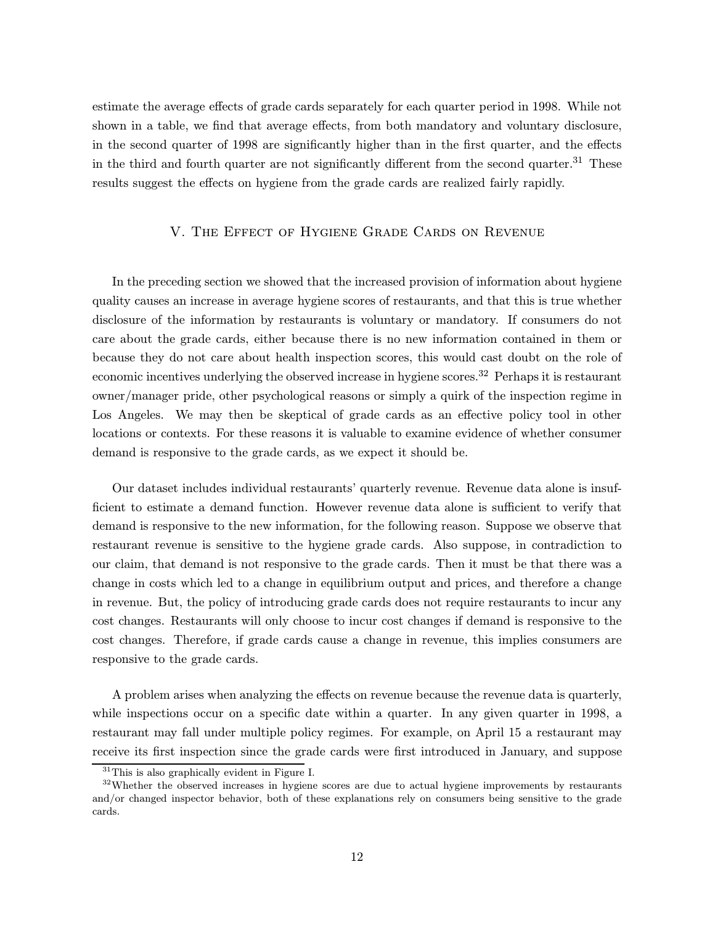estimate the average effects of grade cards separately for each quarter period in 1998. While not shown in a table, we find that average effects, from both mandatory and voluntary disclosure, in the second quarter of 1998 are significantly higher than in the first quarter, and the effects in the third and fourth quarter are not significantly different from the second quarter.<sup>31</sup> These results suggest the effects on hygiene from the grade cards are realized fairly rapidly.

#### V. The Effect of Hygiene Grade Cards on Revenue

In the preceding section we showed that the increased provision of information about hygiene quality causes an increase in average hygiene scores of restaurants, and that this is true whether disclosure of the information by restaurants is voluntary or mandatory. If consumers do not care about the grade cards, either because there is no new information contained in them or because they do not care about health inspection scores, this would cast doubt on the role of economic incentives underlying the observed increase in hygiene scores.<sup>32</sup> Perhaps it is restaurant owner/manager pride, other psychological reasons or simply a quirk of the inspection regime in Los Angeles. We may then be skeptical of grade cards as an effective policy tool in other locations or contexts. For these reasons it is valuable to examine evidence of whether consumer demand is responsive to the grade cards, as we expect it should be.

Our dataset includes individual restaurants' quarterly revenue. Revenue data alone is insufficient to estimate a demand function. However revenue data alone is sufficient to verify that demand is responsive to the new information, for the following reason. Suppose we observe that restaurant revenue is sensitive to the hygiene grade cards. Also suppose, in contradiction to our claim, that demand is not responsive to the grade cards. Then it must be that there was a change in costs which led to a change in equilibrium output and prices, and therefore a change in revenue. But, the policy of introducing grade cards does not require restaurants to incur any cost changes. Restaurants will only choose to incur cost changes if demand is responsive to the cost changes. Therefore, if grade cards cause a change in revenue, this implies consumers are responsive to the grade cards.

A problem arises when analyzing the effects on revenue because the revenue data is quarterly, while inspections occur on a specific date within a quarter. In any given quarter in 1998, a restaurant may fall under multiple policy regimes. For example, on April 15 a restaurant may receive its first inspection since the grade cards were first introduced in January, and suppose

 $31$ This is also graphically evident in Figure I.

<sup>&</sup>lt;sup>32</sup>Whether the observed increases in hygiene scores are due to actual hygiene improvements by restaurants and/or changed inspector behavior, both of these explanations rely on consumers being sensitive to the grade cards.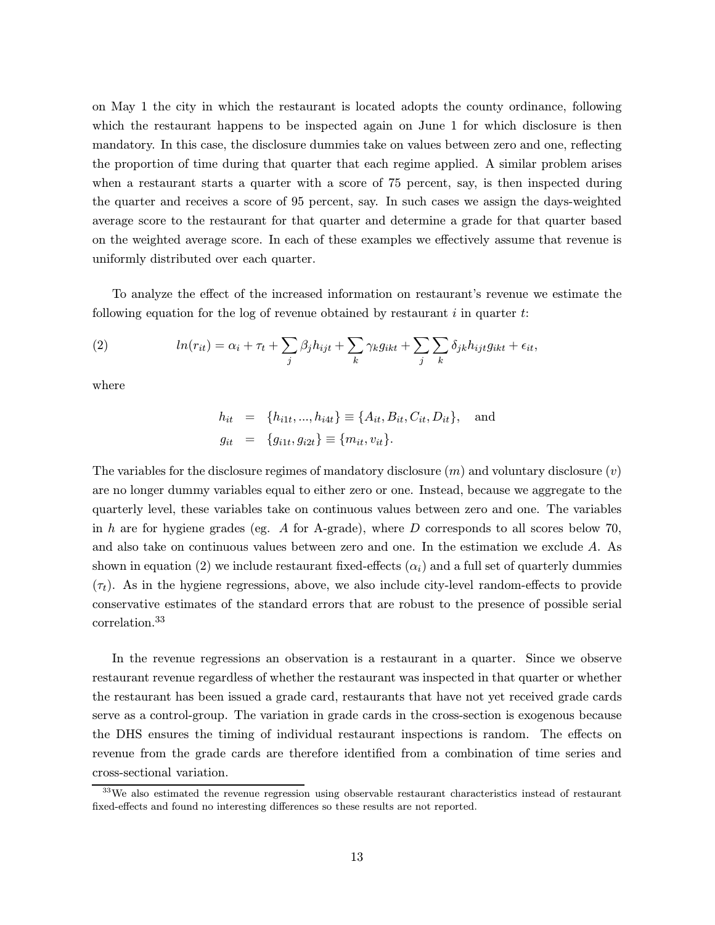on May 1 the city in which the restaurant is located adopts the county ordinance, following which the restaurant happens to be inspected again on June 1 for which disclosure is then mandatory. In this case, the disclosure dummies take on values between zero and one, reflecting the proportion of time during that quarter that each regime applied. A similar problem arises when a restaurant starts a quarter with a score of 75 percent, say, is then inspected during the quarter and receives a score of 95 percent, say. In such cases we assign the days-weighted average score to the restaurant for that quarter and determine a grade for that quarter based on the weighted average score. In each of these examples we effectively assume that revenue is uniformly distributed over each quarter.

To analyze the effect of the increased information on restaurant's revenue we estimate the following equation for the log of revenue obtained by restaurant  $i$  in quarter  $t$ :

(2) 
$$
ln(r_{it}) = \alpha_i + \tau_t + \sum_j \beta_j h_{ijt} + \sum_k \gamma_k g_{ikt} + \sum_j \sum_k \delta_{jk} h_{ijt} g_{ikt} + \epsilon_{it},
$$

where

$$
h_{it} = \{h_{i1t}, ..., h_{i4t}\} \equiv \{A_{it}, B_{it}, C_{it}, D_{it}\}, \text{ and}
$$
  

$$
g_{it} = \{g_{i1t}, g_{i2t}\} \equiv \{m_{it}, v_{it}\}.
$$

The variables for the disclosure regimes of mandatory disclosure  $(m)$  and voluntary disclosure  $(v)$ are no longer dummy variables equal to either zero or one. Instead, because we aggregate to the quarterly level, these variables take on continuous values between zero and one. The variables in h are for hygiene grades (eg. A for A-grade), where D corresponds to all scores below 70, and also take on continuous values between zero and one. In the estimation we exclude A. As shown in equation (2) we include restaurant fixed-effects  $(\alpha_i)$  and a full set of quarterly dummies  $(\tau_t)$ . As in the hygiene regressions, above, we also include city-level random-effects to provide conservative estimates of the standard errors that are robust to the presence of possible serial correlation.<sup>33</sup>

In the revenue regressions an observation is a restaurant in a quarter. Since we observe restaurant revenue regardless of whether the restaurant was inspected in that quarter or whether the restaurant has been issued a grade card, restaurants that have not yet received grade cards serve as a control-group. The variation in grade cards in the cross-section is exogenous because the DHS ensures the timing of individual restaurant inspections is random. The effects on revenue from the grade cards are therefore identified from a combination of time series and cross-sectional variation.

<sup>33</sup>We also estimated the revenue regression using observable restaurant characteristics instead of restaurant fixed-effects and found no interesting differences so these results are not reported.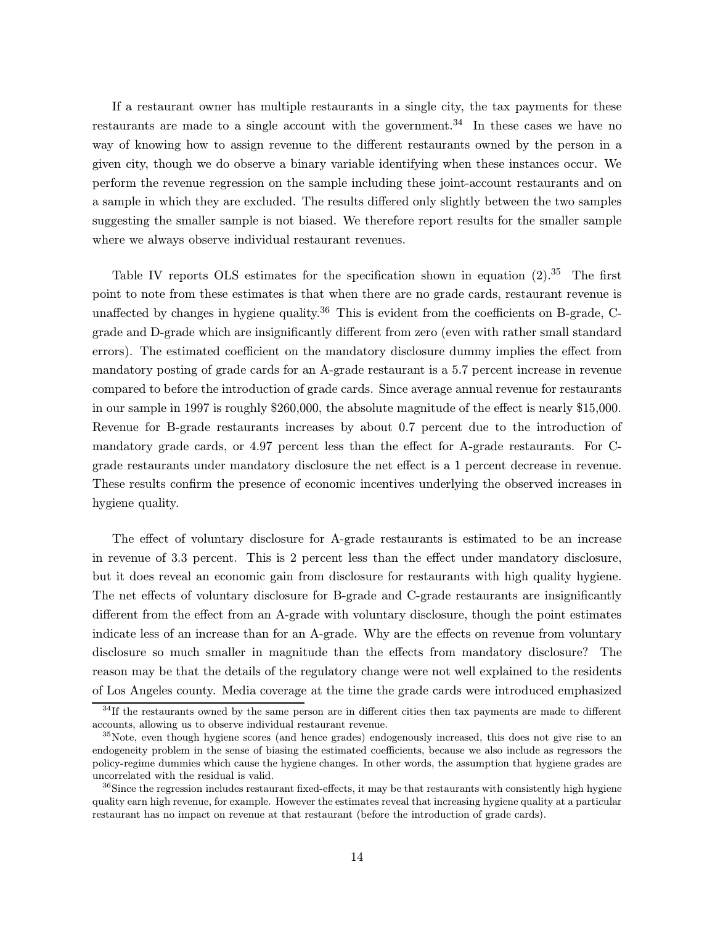If a restaurant owner has multiple restaurants in a single city, the tax payments for these restaurants are made to a single account with the government.<sup>34</sup> In these cases we have no way of knowing how to assign revenue to the different restaurants owned by the person in a given city, though we do observe a binary variable identifying when these instances occur. We perform the revenue regression on the sample including these joint-account restaurants and on a sample in which they are excluded. The results differed only slightly between the two samples suggesting the smaller sample is not biased. We therefore report results for the smaller sample where we always observe individual restaurant revenues.

Table IV reports OLS estimates for the specification shown in equation  $(2)$ .<sup>35</sup> The first point to note from these estimates is that when there are no grade cards, restaurant revenue is unaffected by changes in hygiene quality.<sup>36</sup> This is evident from the coefficients on B-grade, Cgrade and D-grade which are insignificantly different from zero (even with rather small standard errors). The estimated coefficient on the mandatory disclosure dummy implies the effect from mandatory posting of grade cards for an A-grade restaurant is a 5.7 percent increase in revenue compared to before the introduction of grade cards. Since average annual revenue for restaurants in our sample in 1997 is roughly \$260,000, the absolute magnitude of the effect is nearly \$15,000. Revenue for B-grade restaurants increases by about 0.7 percent due to the introduction of mandatory grade cards, or 4.97 percent less than the effect for A-grade restaurants. For Cgrade restaurants under mandatory disclosure the net effect is a 1 percent decrease in revenue. These results confirm the presence of economic incentives underlying the observed increases in hygiene quality.

The effect of voluntary disclosure for A-grade restaurants is estimated to be an increase in revenue of 3.3 percent. This is 2 percent less than the effect under mandatory disclosure, but it does reveal an economic gain from disclosure for restaurants with high quality hygiene. The net effects of voluntary disclosure for B-grade and C-grade restaurants are insignificantly different from the effect from an A-grade with voluntary disclosure, though the point estimates indicate less of an increase than for an A-grade. Why are the effects on revenue from voluntary disclosure so much smaller in magnitude than the effects from mandatory disclosure? The reason may be that the details of the regulatory change were not well explained to the residents of Los Angeles county. Media coverage at the time the grade cards were introduced emphasized

<sup>&</sup>lt;sup>34</sup>If the restaurants owned by the same person are in different cities then tax payments are made to different accounts, allowing us to observe individual restaurant revenue.

<sup>&</sup>lt;sup>35</sup>Note, even though hygiene scores (and hence grades) endogenously increased, this does not give rise to an endogeneity problem in the sense of biasing the estimated coefficients, because we also include as regressors the policy-regime dummies which cause the hygiene changes. In other words, the assumption that hygiene grades are uncorrelated with the residual is valid.

 $36$ Since the regression includes restaurant fixed-effects, it may be that restaurants with consistently high hygiene quality earn high revenue, for example. However the estimates reveal that increasing hygiene quality at a particular restaurant has no impact on revenue at that restaurant (before the introduction of grade cards).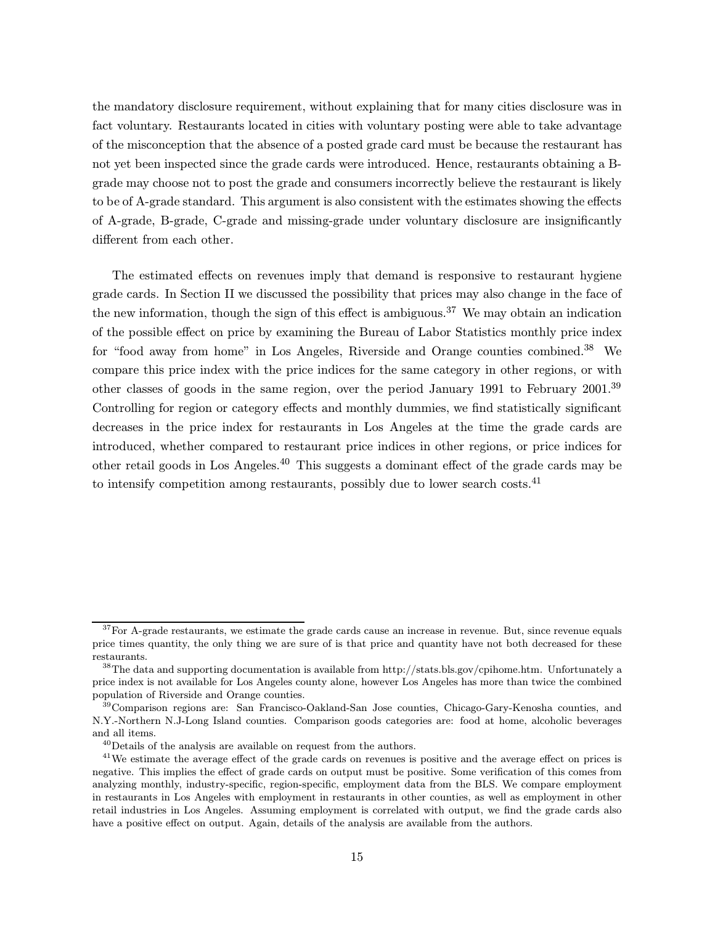the mandatory disclosure requirement, without explaining that for many cities disclosure was in fact voluntary. Restaurants located in cities with voluntary posting were able to take advantage of the misconception that the absence of a posted grade card must be because the restaurant has not yet been inspected since the grade cards were introduced. Hence, restaurants obtaining a Bgrade may choose not to post the grade and consumers incorrectly believe the restaurant is likely to be of A-grade standard. This argument is also consistent with the estimates showing the effects of A-grade, B-grade, C-grade and missing-grade under voluntary disclosure are insignificantly different from each other.

The estimated effects on revenues imply that demand is responsive to restaurant hygiene grade cards. In Section II we discussed the possibility that prices may also change in the face of the new information, though the sign of this effect is ambiguous.<sup>37</sup> We may obtain an indication of the possible effect on price by examining the Bureau of Labor Statistics monthly price index for "food away from home" in Los Angeles, Riverside and Orange counties combined.<sup>38</sup> We compare this price index with the price indices for the same category in other regions, or with other classes of goods in the same region, over the period January 1991 to February 2001.<sup>39</sup> Controlling for region or category effects and monthly dummies, we find statistically significant decreases in the price index for restaurants in Los Angeles at the time the grade cards are introduced, whether compared to restaurant price indices in other regions, or price indices for other retail goods in Los Angeles.<sup>40</sup> This suggests a dominant effect of the grade cards may be to intensify competition among restaurants, possibly due to lower search costs.<sup>41</sup>

 $37$  For A-grade restaurants, we estimate the grade cards cause an increase in revenue. But, since revenue equals price times quantity, the only thing we are sure of is that price and quantity have not both decreased for these restaurants.

 $38$ The data and supporting documentation is available from http://stats.bls.gov/cpihome.htm. Unfortunately a price index is not available for Los Angeles county alone, however Los Angeles has more than twice the combined population of Riverside and Orange counties.

<sup>39</sup>Comparison regions are: San Francisco-Oakland-San Jose counties, Chicago-Gary-Kenosha counties, and N.Y.-Northern N.J-Long Island counties. Comparison goods categories are: food at home, alcoholic beverages and all items.

 $^{40}$  Details of the analysis are available on request from the authors.

<sup>&</sup>lt;sup>41</sup>We estimate the average effect of the grade cards on revenues is positive and the average effect on prices is negative. This implies the effect of grade cards on output must be positive. Some verification of this comes from analyzing monthly, industry-specific, region-specific, employment data from the BLS. We compare employment in restaurants in Los Angeles with employment in restaurants in other counties, as well as employment in other retail industries in Los Angeles. Assuming employment is correlated with output, we find the grade cards also have a positive effect on output. Again, details of the analysis are available from the authors.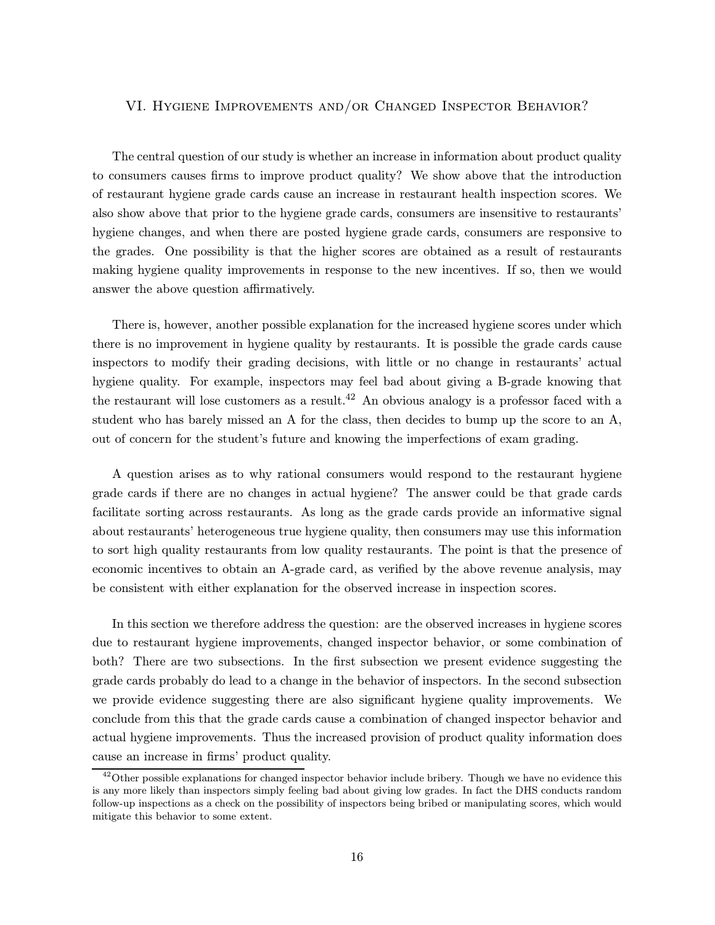#### VI. Hygiene Improvements and/or Changed Inspector Behavior?

The central question of our study is whether an increase in information about product quality to consumers causes firms to improve product quality? We show above that the introduction of restaurant hygiene grade cards cause an increase in restaurant health inspection scores. We also show above that prior to the hygiene grade cards, consumers are insensitive to restaurants' hygiene changes, and when there are posted hygiene grade cards, consumers are responsive to the grades. One possibility is that the higher scores are obtained as a result of restaurants making hygiene quality improvements in response to the new incentives. If so, then we would answer the above question affirmatively.

There is, however, another possible explanation for the increased hygiene scores under which there is no improvement in hygiene quality by restaurants. It is possible the grade cards cause inspectors to modify their grading decisions, with little or no change in restaurants' actual hygiene quality. For example, inspectors may feel bad about giving a B-grade knowing that the restaurant will lose customers as a result.<sup>42</sup> An obvious analogy is a professor faced with a student who has barely missed an A for the class, then decides to bump up the score to an A, out of concern for the student's future and knowing the imperfections of exam grading.

A question arises as to why rational consumers would respond to the restaurant hygiene grade cards if there are no changes in actual hygiene? The answer could be that grade cards facilitate sorting across restaurants. As long as the grade cards provide an informative signal about restaurants' heterogeneous true hygiene quality, then consumers may use this information to sort high quality restaurants from low quality restaurants. The point is that the presence of economic incentives to obtain an A-grade card, as verified by the above revenue analysis, may be consistent with either explanation for the observed increase in inspection scores.

In this section we therefore address the question: are the observed increases in hygiene scores due to restaurant hygiene improvements, changed inspector behavior, or some combination of both? There are two subsections. In the first subsection we present evidence suggesting the grade cards probably do lead to a change in the behavior of inspectors. In the second subsection we provide evidence suggesting there are also significant hygiene quality improvements. We conclude from this that the grade cards cause a combination of changed inspector behavior and actual hygiene improvements. Thus the increased provision of product quality information does cause an increase in firms' product quality.

<sup>&</sup>lt;sup>42</sup>Other possible explanations for changed inspector behavior include bribery. Though we have no evidence this is any more likely than inspectors simply feeling bad about giving low grades. In fact the DHS conducts random follow-up inspections as a check on the possibility of inspectors being bribed or manipulating scores, which would mitigate this behavior to some extent.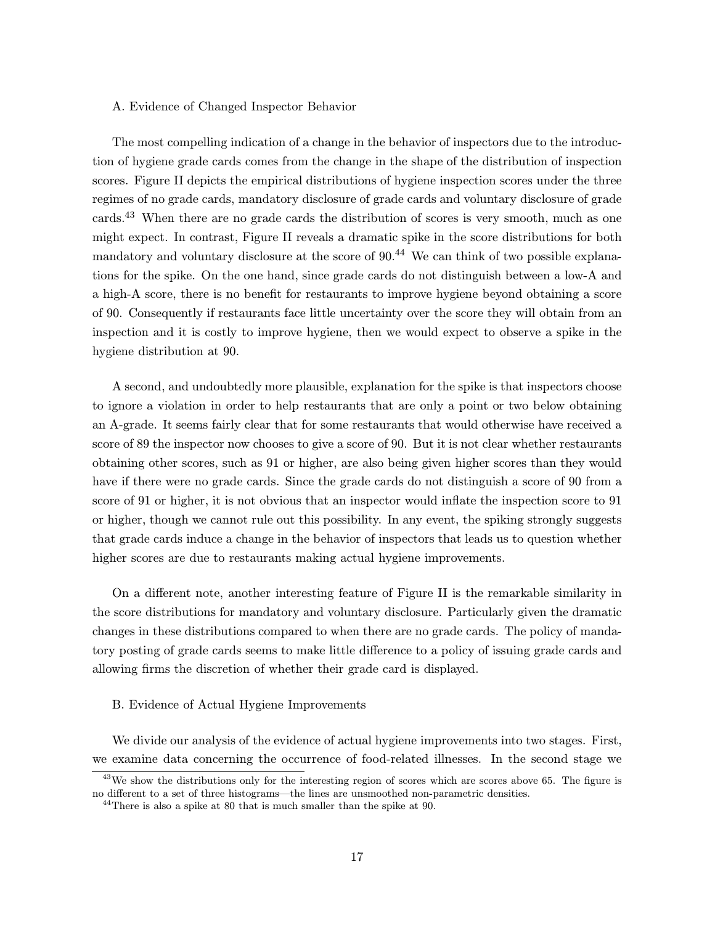#### A. Evidence of Changed Inspector Behavior

The most compelling indication of a change in the behavior of inspectors due to the introduction of hygiene grade cards comes from the change in the shape of the distribution of inspection scores. Figure II depicts the empirical distributions of hygiene inspection scores under the three regimes of no grade cards, mandatory disclosure of grade cards and voluntary disclosure of grade cards.<sup>43</sup> When there are no grade cards the distribution of scores is very smooth, much as one might expect. In contrast, Figure II reveals a dramatic spike in the score distributions for both mandatory and voluntary disclosure at the score of  $90<sup>44</sup>$  We can think of two possible explanations for the spike. On the one hand, since grade cards do not distinguish between a low-A and a high-A score, there is no benefit for restaurants to improve hygiene beyond obtaining a score of 90. Consequently if restaurants face little uncertainty over the score they will obtain from an inspection and it is costly to improve hygiene, then we would expect to observe a spike in the hygiene distribution at 90.

A second, and undoubtedly more plausible, explanation for the spike is that inspectors choose to ignore a violation in order to help restaurants that are only a point or two below obtaining an A-grade. It seems fairly clear that for some restaurants that would otherwise have received a score of 89 the inspector now chooses to give a score of 90. But it is not clear whether restaurants obtaining other scores, such as 91 or higher, are also being given higher scores than they would have if there were no grade cards. Since the grade cards do not distinguish a score of 90 from a score of 91 or higher, it is not obvious that an inspector would inflate the inspection score to 91 or higher, though we cannot rule out this possibility. In any event, the spiking strongly suggests that grade cards induce a change in the behavior of inspectors that leads us to question whether higher scores are due to restaurants making actual hygiene improvements.

On a different note, another interesting feature of Figure II is the remarkable similarity in the score distributions for mandatory and voluntary disclosure. Particularly given the dramatic changes in these distributions compared to when there are no grade cards. The policy of mandatory posting of grade cards seems to make little difference to a policy of issuing grade cards and allowing firms the discretion of whether their grade card is displayed.

#### B. Evidence of Actual Hygiene Improvements

We divide our analysis of the evidence of actual hygiene improvements into two stages. First, we examine data concerning the occurrence of food-related illnesses. In the second stage we

 $43$ We show the distributions only for the interesting region of scores which are scores above 65. The figure is no different to a set of three histograms—the lines are unsmoothed non-parametric densities.

 $44$ There is also a spike at 80 that is much smaller than the spike at 90.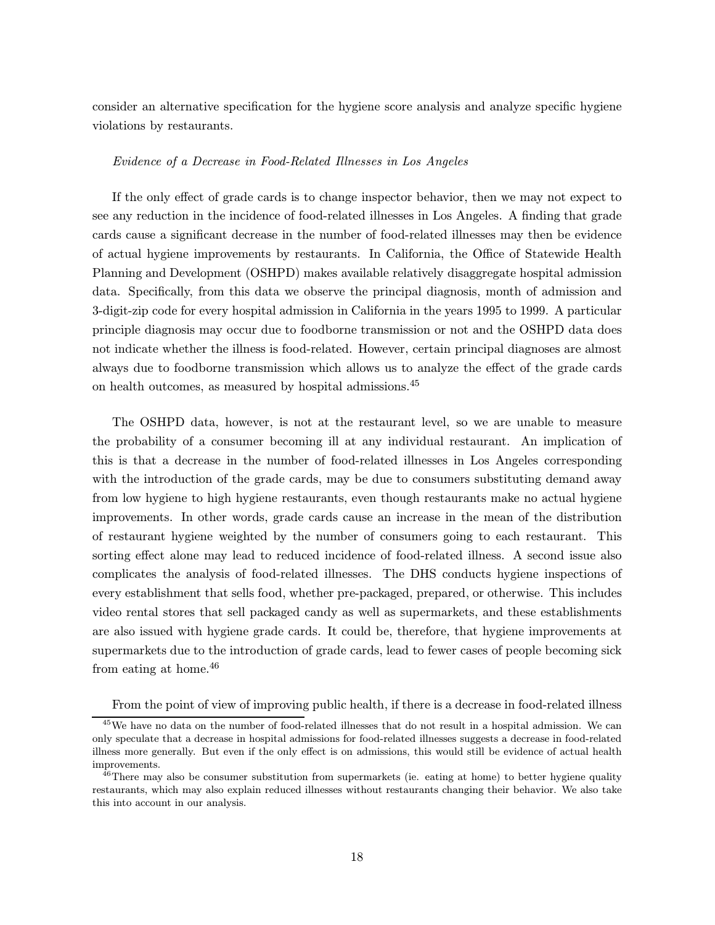consider an alternative specification for the hygiene score analysis and analyze specific hygiene violations by restaurants.

#### Evidence of a Decrease in Food-Related Illnesses in Los Angeles

If the only effect of grade cards is to change inspector behavior, then we may not expect to see any reduction in the incidence of food-related illnesses in Los Angeles. A finding that grade cards cause a significant decrease in the number of food-related illnesses may then be evidence of actual hygiene improvements by restaurants. In California, the Office of Statewide Health Planning and Development (OSHPD) makes available relatively disaggregate hospital admission data. Specifically, from this data we observe the principal diagnosis, month of admission and 3-digit-zip code for every hospital admission in California in the years 1995 to 1999. A particular principle diagnosis may occur due to foodborne transmission or not and the OSHPD data does not indicate whether the illness is food-related. However, certain principal diagnoses are almost always due to foodborne transmission which allows us to analyze the effect of the grade cards on health outcomes, as measured by hospital admissions.<sup>45</sup>

The OSHPD data, however, is not at the restaurant level, so we are unable to measure the probability of a consumer becoming ill at any individual restaurant. An implication of this is that a decrease in the number of food-related illnesses in Los Angeles corresponding with the introduction of the grade cards, may be due to consumers substituting demand away from low hygiene to high hygiene restaurants, even though restaurants make no actual hygiene improvements. In other words, grade cards cause an increase in the mean of the distribution of restaurant hygiene weighted by the number of consumers going to each restaurant. This sorting effect alone may lead to reduced incidence of food-related illness. A second issue also complicates the analysis of food-related illnesses. The DHS conducts hygiene inspections of every establishment that sells food, whether pre-packaged, prepared, or otherwise. This includes video rental stores that sell packaged candy as well as supermarkets, and these establishments are also issued with hygiene grade cards. It could be, therefore, that hygiene improvements at supermarkets due to the introduction of grade cards, lead to fewer cases of people becoming sick from eating at home.<sup>46</sup>

From the point of view of improving public health, if there is a decrease in food-related illness

<sup>&</sup>lt;sup>45</sup>We have no data on the number of food-related illnesses that do not result in a hospital admission. We can only speculate that a decrease in hospital admissions for food-related illnesses suggests a decrease in food-related illness more generally. But even if the only effect is on admissions, this would still be evidence of actual health improvements.

 $46$ There may also be consumer substitution from supermarkets (ie. eating at home) to better hygiene quality restaurants, which may also explain reduced illnesses without restaurants changing their behavior. We also take this into account in our analysis.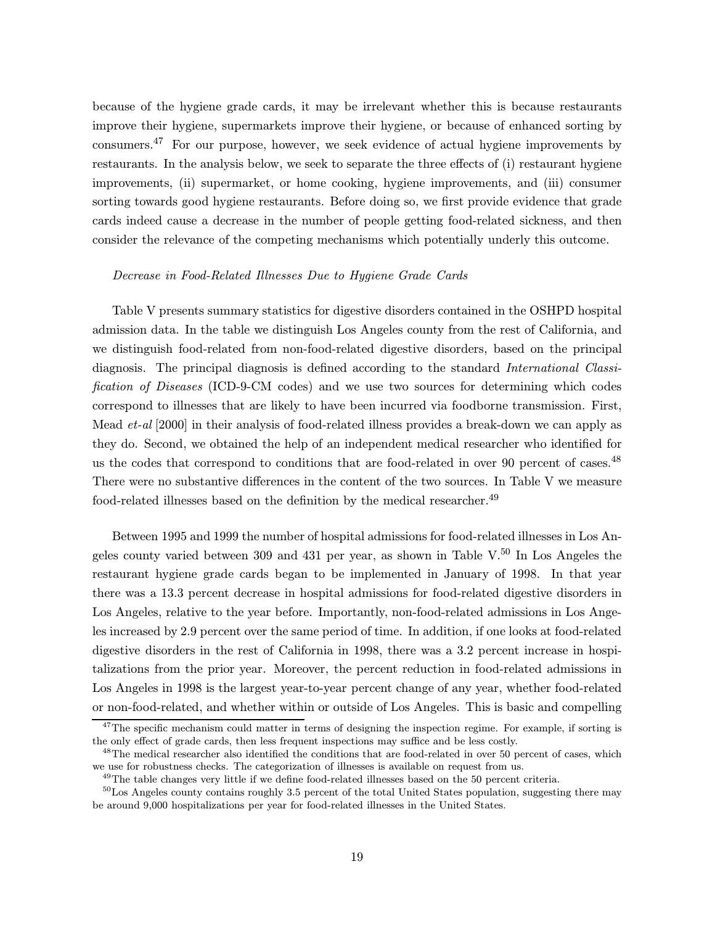because of the hygiene grade cards, it may be irrelevant whether this is because restaurants improve their hygiene, supermarkets improve their hygiene, or because of enhanced sorting by consumers.<sup>47</sup> For our purpose, however, we seek evidence of actual hygiene improvements by restaurants. In the analysis below, we seek to separate the three effects of (i) restaurant hygiene improvements, (ii) supermarket, or home cooking, hygiene improvements, and (iii) consumer sorting towards good hygiene restaurants. Before doing so, we first provide evidence that grade cards indeed cause a decrease in the number of people getting food-related sickness, and then consider the relevance of the competing mechanisms which potentially underly this outcome.

#### Decrease in Food-Related Illnesses Due to Hygiene Grade Cards

Table V presents summary statistics for digestive disorders contained in the OSHPD hospital admission data. In the table we distinguish Los Angeles county from the rest of California, and we distinguish food-related from non-food-related digestive disorders, based on the principal diagnosis. The principal diagnosis is defined according to the standard International Classification of Diseases (ICD-9-CM codes) and we use two sources for determining which codes correspond to illnesses that are likely to have been incurred via foodborne transmission. First, Mead *et-al* [2000] in their analysis of food-related illness provides a break-down we can apply as they do. Second, we obtained the help of an independent medical researcher who identified for us the codes that correspond to conditions that are food-related in over 90 percent of cases.<sup>48</sup> There were no substantive differences in the content of the two sources. In Table V we measure food-related illnesses based on the definition by the medical researcher.<sup>49</sup>

Between 1995 and 1999 the number of hospital admissions for food-related illnesses in Los Angeles county varied between 309 and 431 per year, as shown in Table  $V^{50}$  In Los Angeles the restaurant hygiene grade cards began to be implemented in January of 1998. In that year there was a 13.3 percent decrease in hospital admissions for food-related digestive disorders in Los Angeles, relative to the year before. Importantly, non-food-related admissions in Los Angeles increased by 2.9 percent over the same period of time. In addition, if one looks at food-related digestive disorders in the rest of California in 1998, there was a 3.2 percent increase in hospitalizations from the prior year. Moreover, the percent reduction in food-related admissions in Los Angeles in 1998 is the largest year-to-year percent change of any year, whether food-related or non-food-related, and whether within or outside of Los Angeles. This is basic and compelling

 $47$ The specific mechanism could matter in terms of designing the inspection regime. For example, if sorting is the only effect of grade cards, then less frequent inspections may suffice and be less costly.

<sup>&</sup>lt;sup>48</sup>The medical researcher also identified the conditions that are food-related in over 50 percent of cases, which we use for robustness checks. The categorization of illnesses is available on request from us.

 $^{49}$ The table changes very little if we define food-related illnesses based on the 50 percent criteria.

 $50$ Los Angeles county contains roughly 3.5 percent of the total United States population, suggesting there may be around 9,000 hospitalizations per year for food-related illnesses in the United States.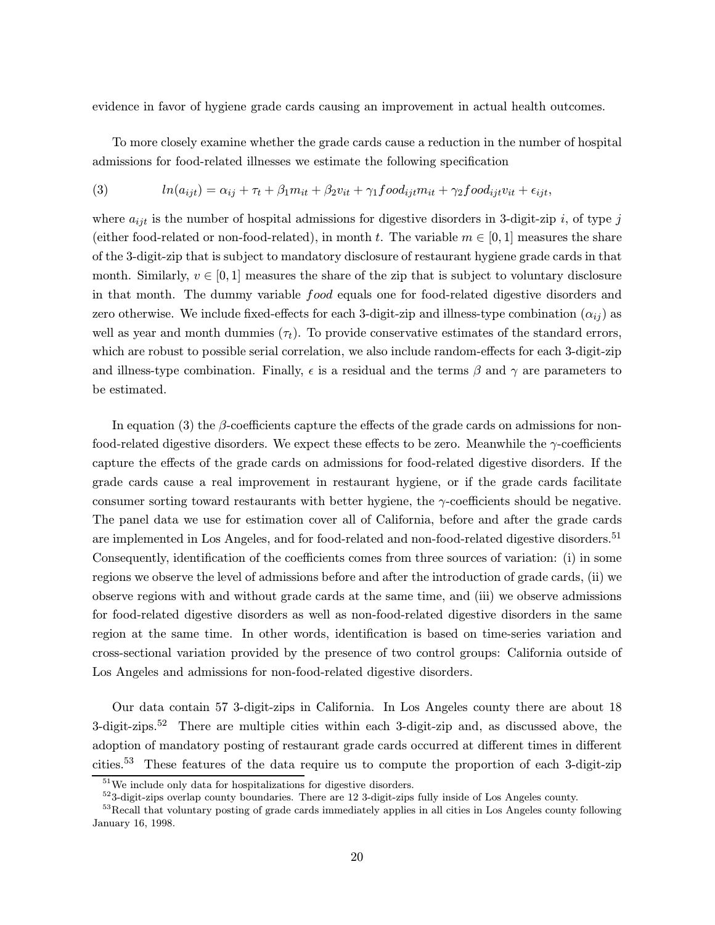evidence in favor of hygiene grade cards causing an improvement in actual health outcomes.

To more closely examine whether the grade cards cause a reduction in the number of hospital admissions for food-related illnesses we estimate the following specification

(3) 
$$
ln(a_{ijt}) = \alpha_{ij} + \tau_t + \beta_1 m_{it} + \beta_2 v_{it} + \gamma_1 f \cdot o \cdot d_{ijt} m_{it} + \gamma_2 f \cdot o \cdot d_{ijt} v_{it} + \epsilon_{ijt},
$$

where  $a_{ijt}$  is the number of hospital admissions for digestive disorders in 3-digit-zip i, of type j (either food-related or non-food-related), in month t. The variable  $m \in [0,1]$  measures the share of the 3-digit-zip that is subject to mandatory disclosure of restaurant hygiene grade cards in that month. Similarly,  $v \in [0, 1]$  measures the share of the zip that is subject to voluntary disclosure in that month. The dummy variable food equals one for food-related digestive disorders and zero otherwise. We include fixed-effects for each 3-digit-zip and illness-type combination  $(\alpha_{ij})$  as well as year and month dummies  $(\tau_t)$ . To provide conservative estimates of the standard errors, which are robust to possible serial correlation, we also include random-effects for each 3-digit-zip and illness-type combination. Finally,  $\epsilon$  is a residual and the terms  $\beta$  and  $\gamma$  are parameters to be estimated.

In equation (3) the  $\beta$ -coefficients capture the effects of the grade cards on admissions for nonfood-related digestive disorders. We expect these effects to be zero. Meanwhile the  $\gamma$ -coefficients capture the effects of the grade cards on admissions for food-related digestive disorders. If the grade cards cause a real improvement in restaurant hygiene, or if the grade cards facilitate consumer sorting toward restaurants with better hygiene, the  $\gamma$ -coefficients should be negative. The panel data we use for estimation cover all of California, before and after the grade cards are implemented in Los Angeles, and for food-related and non-food-related digestive disorders.<sup>51</sup> Consequently, identification of the coefficients comes from three sources of variation: (i) in some regions we observe the level of admissions before and after the introduction of grade cards, (ii) we observe regions with and without grade cards at the same time, and (iii) we observe admissions for food-related digestive disorders as well as non-food-related digestive disorders in the same region at the same time. In other words, identification is based on time-series variation and cross-sectional variation provided by the presence of two control groups: California outside of Los Angeles and admissions for non-food-related digestive disorders.

Our data contain 57 3-digit-zips in California. In Los Angeles county there are about 18  $3$ -digit-zips.<sup>52</sup> There are multiple cities within each  $3$ -digit-zip and, as discussed above, the adoption of mandatory posting of restaurant grade cards occurred at different times in different cities.<sup>53</sup> These features of the data require us to compute the proportion of each 3-digit-zip

 $51$ We include only data for hospitalizations for digestive disorders.

 $52$ 3-digit-zips overlap county boundaries. There are 12 3-digit-zips fully inside of Los Angeles county.

<sup>&</sup>lt;sup>53</sup>Recall that voluntary posting of grade cards immediately applies in all cities in Los Angeles county following January 16, 1998.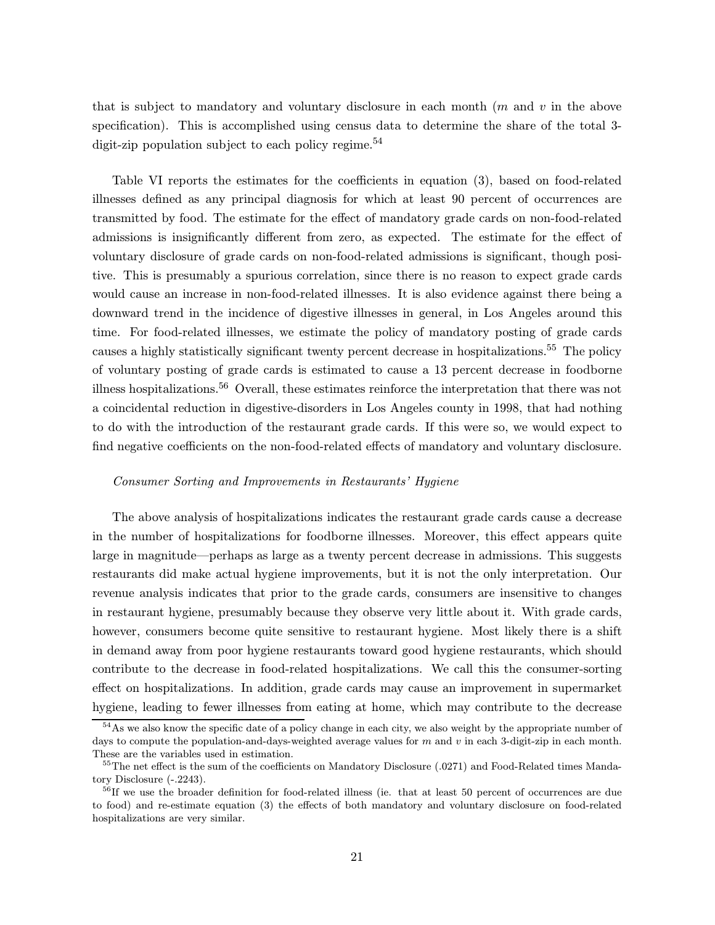that is subject to mandatory and voluntary disclosure in each month  $(m \text{ and } v \text{ in the above})$ specification). This is accomplished using census data to determine the share of the total 3 digit-zip population subject to each policy regime.<sup>54</sup>

Table VI reports the estimates for the coefficients in equation (3), based on food-related illnesses defined as any principal diagnosis for which at least 90 percent of occurrences are transmitted by food. The estimate for the effect of mandatory grade cards on non-food-related admissions is insignificantly different from zero, as expected. The estimate for the effect of voluntary disclosure of grade cards on non-food-related admissions is significant, though positive. This is presumably a spurious correlation, since there is no reason to expect grade cards would cause an increase in non-food-related illnesses. It is also evidence against there being a downward trend in the incidence of digestive illnesses in general, in Los Angeles around this time. For food-related illnesses, we estimate the policy of mandatory posting of grade cards causes a highly statistically significant twenty percent decrease in hospitalizations.<sup>55</sup> The policy of voluntary posting of grade cards is estimated to cause a 13 percent decrease in foodborne illness hospitalizations.<sup>56</sup> Overall, these estimates reinforce the interpretation that there was not a coincidental reduction in digestive-disorders in Los Angeles county in 1998, that had nothing to do with the introduction of the restaurant grade cards. If this were so, we would expect to find negative coefficients on the non-food-related effects of mandatory and voluntary disclosure.

#### Consumer Sorting and Improvements in Restaurants' Hygiene

The above analysis of hospitalizations indicates the restaurant grade cards cause a decrease in the number of hospitalizations for foodborne illnesses. Moreover, this effect appears quite large in magnitude—perhaps as large as a twenty percent decrease in admissions. This suggests restaurants did make actual hygiene improvements, but it is not the only interpretation. Our revenue analysis indicates that prior to the grade cards, consumers are insensitive to changes in restaurant hygiene, presumably because they observe very little about it. With grade cards, however, consumers become quite sensitive to restaurant hygiene. Most likely there is a shift in demand away from poor hygiene restaurants toward good hygiene restaurants, which should contribute to the decrease in food-related hospitalizations. We call this the consumer-sorting effect on hospitalizations. In addition, grade cards may cause an improvement in supermarket hygiene, leading to fewer illnesses from eating at home, which may contribute to the decrease

<sup>&</sup>lt;sup>54</sup>As we also know the specific date of a policy change in each city, we also weight by the appropriate number of days to compute the population-and-days-weighted average values for  $m$  and  $v$  in each 3-digit-zip in each month. These are the variables used in estimation.

<sup>&</sup>lt;sup>55</sup>The net effect is the sum of the coefficients on Mandatory Disclosure (.0271) and Food-Related times Mandatory Disclosure (-.2243).

 $56$ If we use the broader definition for food-related illness (ie. that at least 50 percent of occurrences are due to food) and re-estimate equation (3) the effects of both mandatory and voluntary disclosure on food-related hospitalizations are very similar.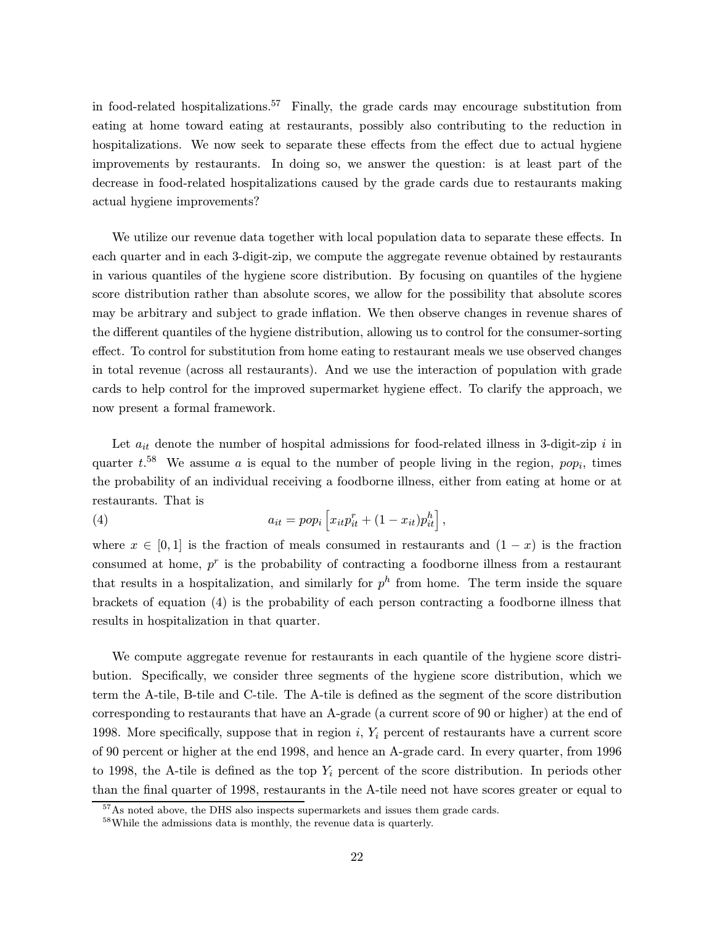in food-related hospitalizations.<sup>57</sup> Finally, the grade cards may encourage substitution from eating at home toward eating at restaurants, possibly also contributing to the reduction in hospitalizations. We now seek to separate these effects from the effect due to actual hygiene improvements by restaurants. In doing so, we answer the question: is at least part of the decrease in food-related hospitalizations caused by the grade cards due to restaurants making actual hygiene improvements?

We utilize our revenue data together with local population data to separate these effects. In each quarter and in each 3-digit-zip, we compute the aggregate revenue obtained by restaurants in various quantiles of the hygiene score distribution. By focusing on quantiles of the hygiene score distribution rather than absolute scores, we allow for the possibility that absolute scores may be arbitrary and subject to grade inflation. We then observe changes in revenue shares of the different quantiles of the hygiene distribution, allowing us to control for the consumer-sorting effect. To control for substitution from home eating to restaurant meals we use observed changes in total revenue (across all restaurants). And we use the interaction of population with grade cards to help control for the improved supermarket hygiene effect. To clarify the approach, we now present a formal framework.

Let  $a_{it}$  denote the number of hospital admissions for food-related illness in 3-digit-zip  $i$  in quarter  $t^{58}$  We assume a is equal to the number of people living in the region,  $pop_i$ , times the probability of an individual receiving a foodborne illness, either from eating at home or at restaurants. That is

(4) 
$$
a_{it} = pop_i \left[ x_{it} p_{it}^r + (1 - x_{it}) p_{it}^h \right],
$$

where  $x \in [0,1]$  is the fraction of meals consumed in restaurants and  $(1-x)$  is the fraction consumed at home,  $p^r$  is the probability of contracting a foodborne illness from a restaurant that results in a hospitalization, and similarly for  $p^h$  from home. The term inside the square brackets of equation (4) is the probability of each person contracting a foodborne illness that results in hospitalization in that quarter.

We compute aggregate revenue for restaurants in each quantile of the hygiene score distribution. Specifically, we consider three segments of the hygiene score distribution, which we term the A-tile, B-tile and C-tile. The A-tile is defined as the segment of the score distribution corresponding to restaurants that have an A-grade (a current score of 90 or higher) at the end of 1998. More specifically, suppose that in region i,  $Y_i$  percent of restaurants have a current score of 90 percent or higher at the end 1998, and hence an A-grade card. In every quarter, from 1996 to 1998, the A-tile is defined as the top  $Y_i$  percent of the score distribution. In periods other than the final quarter of 1998, restaurants in the A-tile need not have scores greater or equal to

<sup>&</sup>lt;sup>57</sup>As noted above, the DHS also inspects supermarkets and issues them grade cards.

<sup>58</sup>While the admissions data is monthly, the revenue data is quarterly.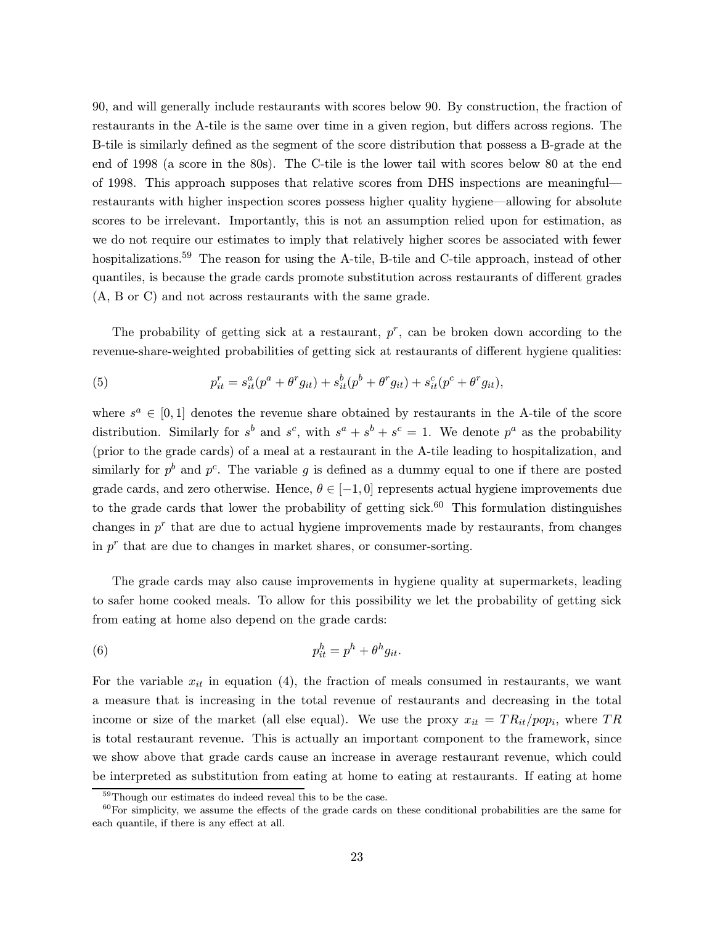90, and will generally include restaurants with scores below 90. By construction, the fraction of restaurants in the A-tile is the same over time in a given region, but differs across regions. The B-tile is similarly defined as the segment of the score distribution that possess a B-grade at the end of 1998 (a score in the 80s). The C-tile is the lower tail with scores below 80 at the end of 1998. This approach supposes that relative scores from DHS inspections are meaningful restaurants with higher inspection scores possess higher quality hygiene—allowing for absolute scores to be irrelevant. Importantly, this is not an assumption relied upon for estimation, as we do not require our estimates to imply that relatively higher scores be associated with fewer hospitalizations.<sup>59</sup> The reason for using the A-tile, B-tile and C-tile approach, instead of other quantiles, is because the grade cards promote substitution across restaurants of different grades (A, B or C) and not across restaurants with the same grade.

The probability of getting sick at a restaurant,  $p^r$ , can be broken down according to the revenue-share-weighted probabilities of getting sick at restaurants of different hygiene qualities:

(5) 
$$
p_{it}^r = s_{it}^a(p^a + \theta^r g_{it}) + s_{it}^b(p^b + \theta^r g_{it}) + s_{it}^c(p^c + \theta^r g_{it}),
$$

where  $s^a \in [0,1]$  denotes the revenue share obtained by restaurants in the A-tile of the score distribution. Similarly for  $s^b$  and  $s^c$ , with  $s^a + s^b + s^c = 1$ . We denote  $p^a$  as the probability (prior to the grade cards) of a meal at a restaurant in the A-tile leading to hospitalization, and similarly for  $p^b$  and  $p^c$ . The variable g is defined as a dummy equal to one if there are posted grade cards, and zero otherwise. Hence,  $\theta \in [-1, 0]$  represents actual hygiene improvements due to the grade cards that lower the probability of getting sick.<sup>60</sup> This formulation distinguishes changes in  $p^r$  that are due to actual hygiene improvements made by restaurants, from changes in  $p<sup>r</sup>$  that are due to changes in market shares, or consumer-sorting.

The grade cards may also cause improvements in hygiene quality at supermarkets, leading to safer home cooked meals. To allow for this possibility we let the probability of getting sick from eating at home also depend on the grade cards:

$$
(6) \t\t\t\t\t p_{it}^h = p^h + \theta^h g_{it}.
$$

For the variable  $x_{it}$  in equation (4), the fraction of meals consumed in restaurants, we want a measure that is increasing in the total revenue of restaurants and decreasing in the total income or size of the market (all else equal). We use the proxy  $x_{it} = TR_{it}/pop_i$ , where TR is total restaurant revenue. This is actually an important component to the framework, since we show above that grade cards cause an increase in average restaurant revenue, which could be interpreted as substitution from eating at home to eating at restaurants. If eating at home

<sup>59</sup>Though our estimates do indeed reveal this to be the case.

 $60$  For simplicity, we assume the effects of the grade cards on these conditional probabilities are the same for each quantile, if there is any effect at all.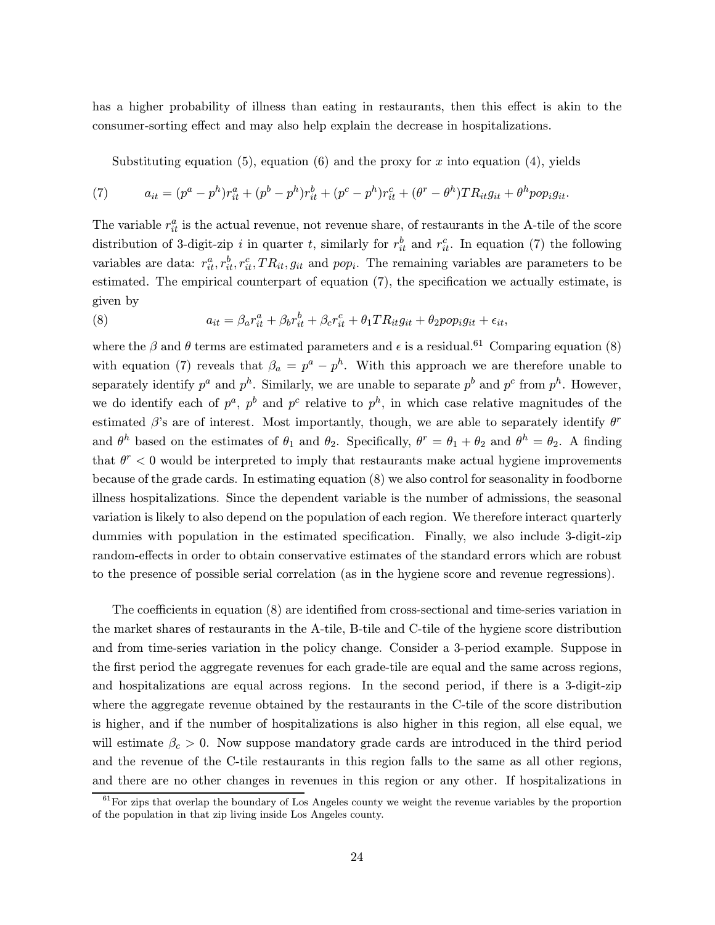has a higher probability of illness than eating in restaurants, then this effect is akin to the consumer-sorting effect and may also help explain the decrease in hospitalizations.

Substituting equation (5), equation (6) and the proxy for x into equation (4), yields

(7) 
$$
a_{it} = (p^a - p^h)r_{it}^a + (p^b - p^h)r_{it}^b + (p^c - p^h)r_{it}^c + (\theta^r - \theta^h)TR_{it}g_{it} + \theta^h pop_i g_{it}.
$$

The variable  $r_{it}^a$  is the actual revenue, not revenue share, of restaurants in the A-tile of the score distribution of 3-digit-zip i in quarter t, similarly for  $r_{it}^b$  and  $r_{it}^c$ . In equation (7) the following variables are data:  $r_{it}^a, r_{it}^b, r_{it}^c, TR_{it}, g_{it}$  and  $pop_i$ . The remaining variables are parameters to be estimated. The empirical counterpart of equation (7), the specification we actually estimate, is given by

(8) 
$$
a_{it} = \beta_a r_{it}^a + \beta_b r_{it}^b + \beta_c r_{it}^c + \theta_1 T R_{it} g_{it} + \theta_2 p \circ p_i g_{it} + \epsilon_{it},
$$

where the  $\beta$  and  $\theta$  terms are estimated parameters and  $\epsilon$  is a residual.<sup>61</sup> Comparing equation (8) with equation (7) reveals that  $\beta_a = p^a - p^b$ . With this approach we are therefore unable to separately identify  $p^a$  and  $p^b$ . Similarly, we are unable to separate  $p^b$  and  $p^c$  from  $p^b$ . However, we do identify each of  $p^a$ ,  $p^b$  and  $p^c$  relative to  $p^h$ , in which case relative magnitudes of the estimated  $\beta$ 's are of interest. Most importantly, though, we are able to separately identify  $\theta^r$ and  $\theta^h$  based on the estimates of  $\theta_1$  and  $\theta_2$ . Specifically,  $\theta^r = \theta_1 + \theta_2$  and  $\theta^h = \theta_2$ . A finding that  $\theta^r$  < 0 would be interpreted to imply that restaurants make actual hygiene improvements because of the grade cards. In estimating equation (8) we also control for seasonality in foodborne illness hospitalizations. Since the dependent variable is the number of admissions, the seasonal variation is likely to also depend on the population of each region. We therefore interact quarterly dummies with population in the estimated specification. Finally, we also include 3-digit-zip random-effects in order to obtain conservative estimates of the standard errors which are robust to the presence of possible serial correlation (as in the hygiene score and revenue regressions).

The coefficients in equation (8) are identified from cross-sectional and time-series variation in the market shares of restaurants in the A-tile, B-tile and C-tile of the hygiene score distribution and from time-series variation in the policy change. Consider a 3-period example. Suppose in the first period the aggregate revenues for each grade-tile are equal and the same across regions, and hospitalizations are equal across regions. In the second period, if there is a 3-digit-zip where the aggregate revenue obtained by the restaurants in the C-tile of the score distribution is higher, and if the number of hospitalizations is also higher in this region, all else equal, we will estimate  $\beta_c > 0$ . Now suppose mandatory grade cards are introduced in the third period and the revenue of the C-tile restaurants in this region falls to the same as all other regions, and there are no other changes in revenues in this region or any other. If hospitalizations in

 $61$  For zips that overlap the boundary of Los Angeles county we weight the revenue variables by the proportion of the population in that zip living inside Los Angeles county.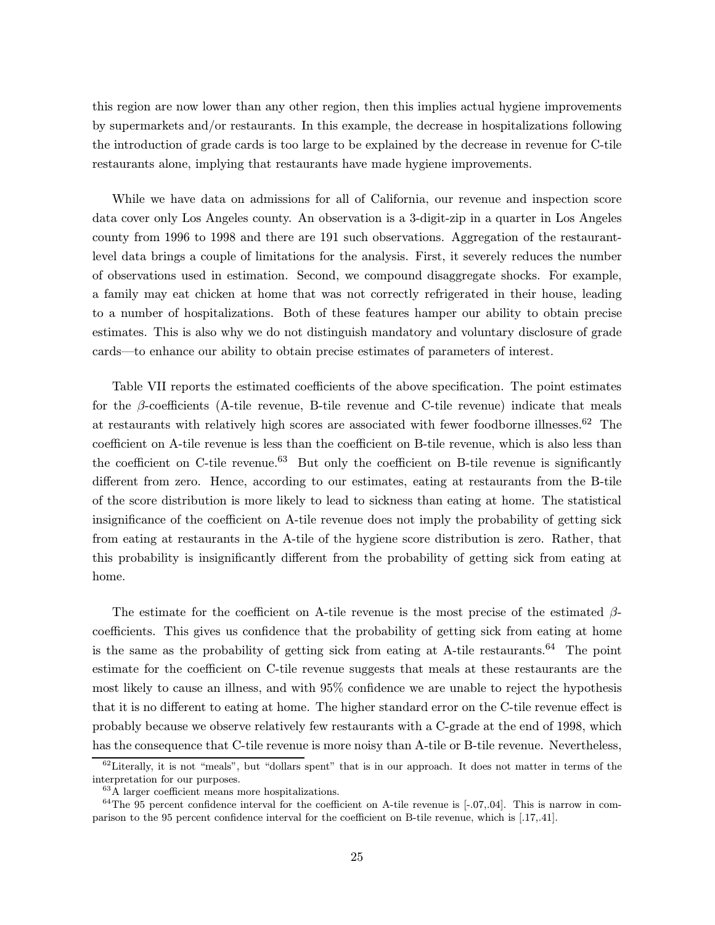this region are now lower than any other region, then this implies actual hygiene improvements by supermarkets and/or restaurants. In this example, the decrease in hospitalizations following the introduction of grade cards is too large to be explained by the decrease in revenue for C-tile restaurants alone, implying that restaurants have made hygiene improvements.

While we have data on admissions for all of California, our revenue and inspection score data cover only Los Angeles county. An observation is a 3-digit-zip in a quarter in Los Angeles county from 1996 to 1998 and there are 191 such observations. Aggregation of the restaurantlevel data brings a couple of limitations for the analysis. First, it severely reduces the number of observations used in estimation. Second, we compound disaggregate shocks. For example, a family may eat chicken at home that was not correctly refrigerated in their house, leading to a number of hospitalizations. Both of these features hamper our ability to obtain precise estimates. This is also why we do not distinguish mandatory and voluntary disclosure of grade cards—to enhance our ability to obtain precise estimates of parameters of interest.

Table VII reports the estimated coefficients of the above specification. The point estimates for the  $\beta$ -coefficients (A-tile revenue, B-tile revenue and C-tile revenue) indicate that meals at restaurants with relatively high scores are associated with fewer foodborne illnesses.<sup>62</sup> The coefficient on A-tile revenue is less than the coefficient on B-tile revenue, which is also less than the coefficient on C-tile revenue.<sup>63</sup> But only the coefficient on B-tile revenue is significantly different from zero. Hence, according to our estimates, eating at restaurants from the B-tile of the score distribution is more likely to lead to sickness than eating at home. The statistical insignificance of the coefficient on A-tile revenue does not imply the probability of getting sick from eating at restaurants in the A-tile of the hygiene score distribution is zero. Rather, that this probability is insignificantly different from the probability of getting sick from eating at home.

The estimate for the coefficient on A-tile revenue is the most precise of the estimated  $\beta$ coefficients. This gives us confidence that the probability of getting sick from eating at home is the same as the probability of getting sick from eating at A-tile restaurants. $64$  The point estimate for the coefficient on C-tile revenue suggests that meals at these restaurants are the most likely to cause an illness, and with 95% confidence we are unable to reject the hypothesis that it is no different to eating at home. The higher standard error on the C-tile revenue effect is probably because we observe relatively few restaurants with a C-grade at the end of 1998, which has the consequence that C-tile revenue is more noisy than A-tile or B-tile revenue. Nevertheless,

 $62$  Literally, it is not "meals", but "dollars spent" that is in our approach. It does not matter in terms of the interpretation for our purposes.

<sup>63</sup>A larger coefficient means more hospitalizations.

 $64$ The  $95$  percent confidence interval for the coefficient on A-tile revenue is  $[-0.7, 0.04]$ . This is narrow in comparison to the 95 percent confidence interval for the coefficient on B-tile revenue, which is [.17,.41].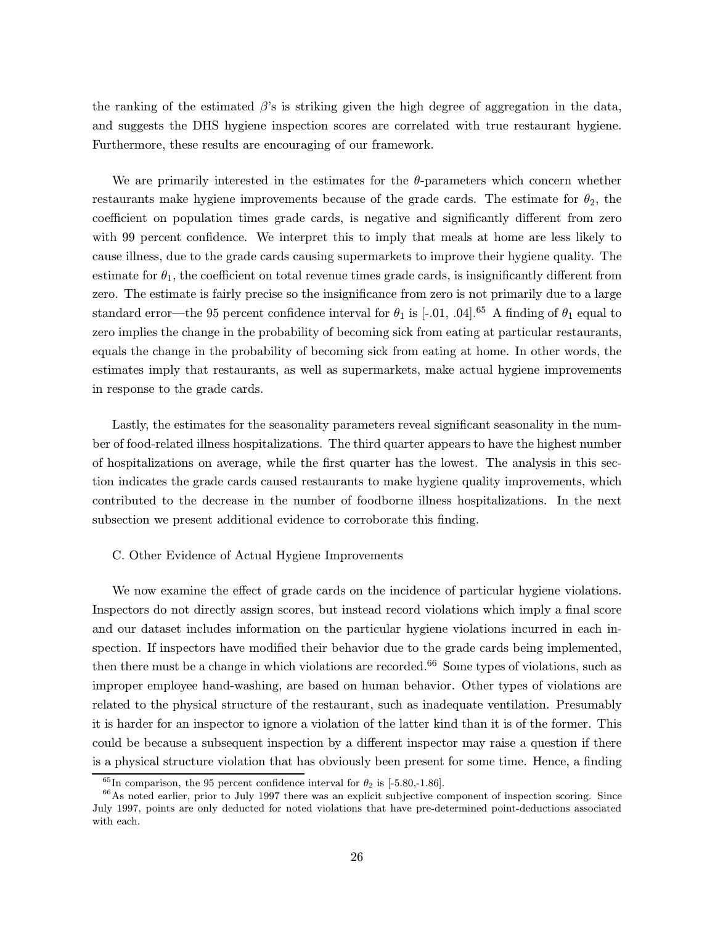the ranking of the estimated  $\beta$ 's is striking given the high degree of aggregation in the data, and suggests the DHS hygiene inspection scores are correlated with true restaurant hygiene. Furthermore, these results are encouraging of our framework.

We are primarily interested in the estimates for the θ-parameters which concern whether restaurants make hygiene improvements because of the grade cards. The estimate for  $\theta_2$ , the coefficient on population times grade cards, is negative and significantly different from zero with 99 percent confidence. We interpret this to imply that meals at home are less likely to cause illness, due to the grade cards causing supermarkets to improve their hygiene quality. The estimate for  $\theta_1$ , the coefficient on total revenue times grade cards, is insignificantly different from zero. The estimate is fairly precise so the insignificance from zero is not primarily due to a large standard error—the 95 percent confidence interval for  $\theta_1$  is [-.01, .04].<sup>65</sup> A finding of  $\theta_1$  equal to zero implies the change in the probability of becoming sick from eating at particular restaurants, equals the change in the probability of becoming sick from eating at home. In other words, the estimates imply that restaurants, as well as supermarkets, make actual hygiene improvements in response to the grade cards.

Lastly, the estimates for the seasonality parameters reveal significant seasonality in the number of food-related illness hospitalizations. The third quarter appears to have the highest number of hospitalizations on average, while the first quarter has the lowest. The analysis in this section indicates the grade cards caused restaurants to make hygiene quality improvements, which contributed to the decrease in the number of foodborne illness hospitalizations. In the next subsection we present additional evidence to corroborate this finding.

#### C. Other Evidence of Actual Hygiene Improvements

We now examine the effect of grade cards on the incidence of particular hygiene violations. Inspectors do not directly assign scores, but instead record violations which imply a final score and our dataset includes information on the particular hygiene violations incurred in each inspection. If inspectors have modified their behavior due to the grade cards being implemented, then there must be a change in which violations are recorded.<sup>66</sup> Some types of violations, such as improper employee hand-washing, are based on human behavior. Other types of violations are related to the physical structure of the restaurant, such as inadequate ventilation. Presumably it is harder for an inspector to ignore a violation of the latter kind than it is of the former. This could be because a subsequent inspection by a different inspector may raise a question if there is a physical structure violation that has obviously been present for some time. Hence, a finding

<sup>&</sup>lt;sup>65</sup>In comparison, the 95 percent confidence interval for  $\theta_2$  is [-5.80,-1.86].

<sup>66</sup>As noted earlier, prior to July 1997 there was an explicit subjective component of inspection scoring. Since July 1997, points are only deducted for noted violations that have pre-determined point-deductions associated with each.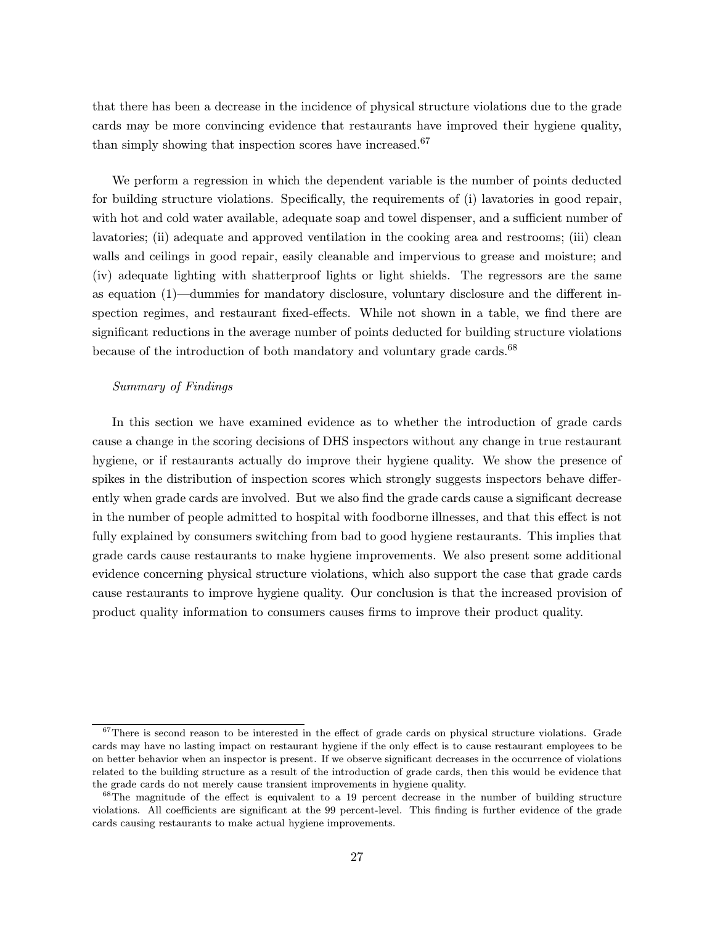that there has been a decrease in the incidence of physical structure violations due to the grade cards may be more convincing evidence that restaurants have improved their hygiene quality, than simply showing that inspection scores have increased.<sup>67</sup>

We perform a regression in which the dependent variable is the number of points deducted for building structure violations. Specifically, the requirements of (i) lavatories in good repair, with hot and cold water available, adequate soap and towel dispenser, and a sufficient number of lavatories; (ii) adequate and approved ventilation in the cooking area and restrooms; (iii) clean walls and ceilings in good repair, easily cleanable and impervious to grease and moisture; and (iv) adequate lighting with shatterproof lights or light shields. The regressors are the same as equation (1)—dummies for mandatory disclosure, voluntary disclosure and the different inspection regimes, and restaurant fixed-effects. While not shown in a table, we find there are significant reductions in the average number of points deducted for building structure violations because of the introduction of both mandatory and voluntary grade cards. $^{68}$ 

#### Summary of Findings

In this section we have examined evidence as to whether the introduction of grade cards cause a change in the scoring decisions of DHS inspectors without any change in true restaurant hygiene, or if restaurants actually do improve their hygiene quality. We show the presence of spikes in the distribution of inspection scores which strongly suggests inspectors behave differently when grade cards are involved. But we also find the grade cards cause a significant decrease in the number of people admitted to hospital with foodborne illnesses, and that this effect is not fully explained by consumers switching from bad to good hygiene restaurants. This implies that grade cards cause restaurants to make hygiene improvements. We also present some additional evidence concerning physical structure violations, which also support the case that grade cards cause restaurants to improve hygiene quality. Our conclusion is that the increased provision of product quality information to consumers causes firms to improve their product quality.

 $67$ There is second reason to be interested in the effect of grade cards on physical structure violations. Grade cards may have no lasting impact on restaurant hygiene if the only effect is to cause restaurant employees to be on better behavior when an inspector is present. If we observe significant decreases in the occurrence of violations related to the building structure as a result of the introduction of grade cards, then this would be evidence that the grade cards do not merely cause transient improvements in hygiene quality.

<sup>&</sup>lt;sup>68</sup>The magnitude of the effect is equivalent to a 19 percent decrease in the number of building structure violations. All coefficients are significant at the 99 percent-level. This finding is further evidence of the grade cards causing restaurants to make actual hygiene improvements.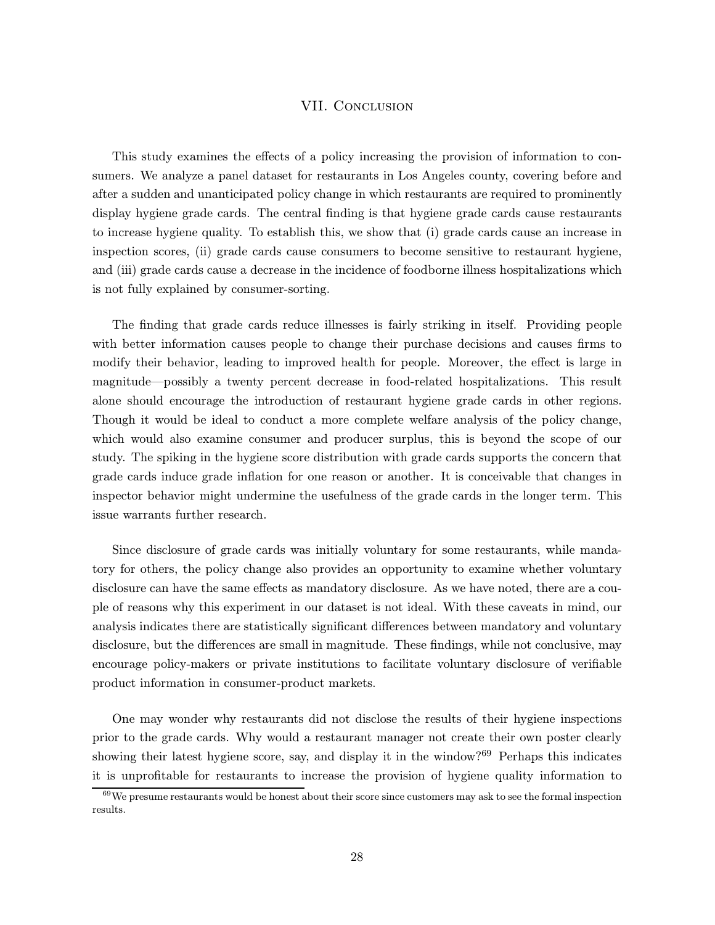#### VII. Conclusion

This study examines the effects of a policy increasing the provision of information to consumers. We analyze a panel dataset for restaurants in Los Angeles county, covering before and after a sudden and unanticipated policy change in which restaurants are required to prominently display hygiene grade cards. The central finding is that hygiene grade cards cause restaurants to increase hygiene quality. To establish this, we show that (i) grade cards cause an increase in inspection scores, (ii) grade cards cause consumers to become sensitive to restaurant hygiene, and (iii) grade cards cause a decrease in the incidence of foodborne illness hospitalizations which is not fully explained by consumer-sorting.

The finding that grade cards reduce illnesses is fairly striking in itself. Providing people with better information causes people to change their purchase decisions and causes firms to modify their behavior, leading to improved health for people. Moreover, the effect is large in magnitude—possibly a twenty percent decrease in food-related hospitalizations. This result alone should encourage the introduction of restaurant hygiene grade cards in other regions. Though it would be ideal to conduct a more complete welfare analysis of the policy change, which would also examine consumer and producer surplus, this is beyond the scope of our study. The spiking in the hygiene score distribution with grade cards supports the concern that grade cards induce grade inflation for one reason or another. It is conceivable that changes in inspector behavior might undermine the usefulness of the grade cards in the longer term. This issue warrants further research.

Since disclosure of grade cards was initially voluntary for some restaurants, while mandatory for others, the policy change also provides an opportunity to examine whether voluntary disclosure can have the same effects as mandatory disclosure. As we have noted, there are a couple of reasons why this experiment in our dataset is not ideal. With these caveats in mind, our analysis indicates there are statistically significant differences between mandatory and voluntary disclosure, but the differences are small in magnitude. These findings, while not conclusive, may encourage policy-makers or private institutions to facilitate voluntary disclosure of verifiable product information in consumer-product markets.

One may wonder why restaurants did not disclose the results of their hygiene inspections prior to the grade cards. Why would a restaurant manager not create their own poster clearly showing their latest hygiene score, say, and display it in the window?<sup>69</sup> Perhaps this indicates it is unprofitable for restaurants to increase the provision of hygiene quality information to

 $69$ We presume restaurants would be honest about their score since customers may ask to see the formal inspection results.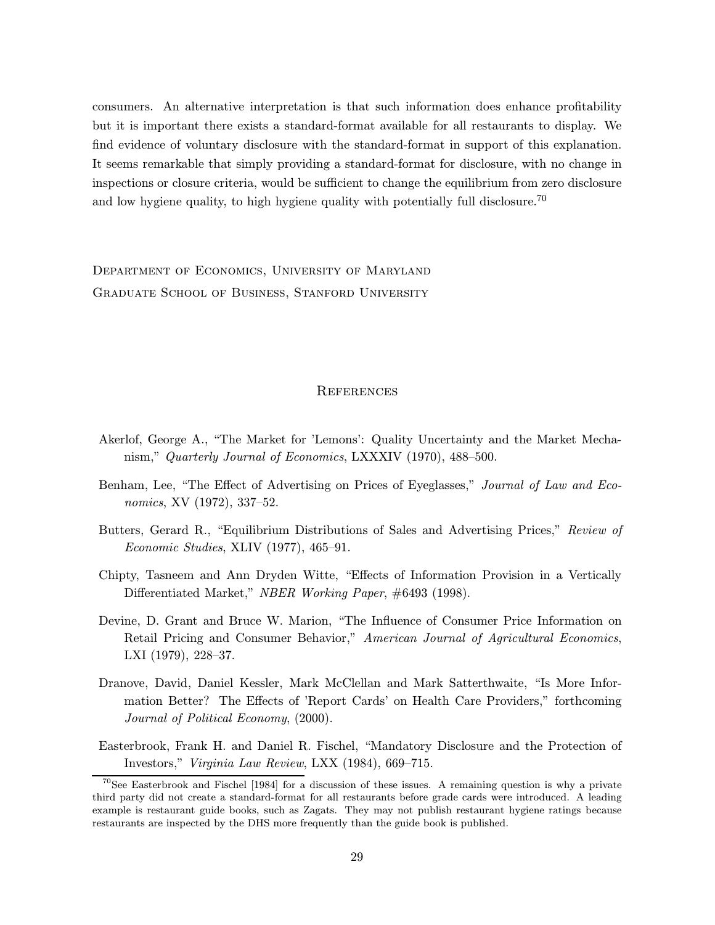consumers. An alternative interpretation is that such information does enhance profitability but it is important there exists a standard-format available for all restaurants to display. We find evidence of voluntary disclosure with the standard-format in support of this explanation. It seems remarkable that simply providing a standard-format for disclosure, with no change in inspections or closure criteria, would be sufficient to change the equilibrium from zero disclosure and low hygiene quality, to high hygiene quality with potentially full disclosure.<sup>70</sup>

Department of Economics, University of Maryland Graduate School of Business, Stanford University

#### **REFERENCES**

- Akerlof, George A., "The Market for 'Lemons': Quality Uncertainty and the Market Mechanism," Quarterly Journal of Economics, LXXXIV (1970), 488–500.
- Benham, Lee, "The Effect of Advertising on Prices of Eyeglasses," Journal of Law and Economics, XV (1972), 337–52.
- Butters, Gerard R., "Equilibrium Distributions of Sales and Advertising Prices," Review of Economic Studies, XLIV (1977), 465–91.
- Chipty, Tasneem and Ann Dryden Witte, "Effects of Information Provision in a Vertically Differentiated Market," NBER Working Paper, #6493 (1998).
- Devine, D. Grant and Bruce W. Marion, "The Influence of Consumer Price Information on Retail Pricing and Consumer Behavior," American Journal of Agricultural Economics, LXI (1979), 228–37.
- Dranove, David, Daniel Kessler, Mark McClellan and Mark Satterthwaite, "Is More Information Better? The Effects of 'Report Cards' on Health Care Providers," forthcoming Journal of Political Economy, (2000).
- Easterbrook, Frank H. and Daniel R. Fischel, "Mandatory Disclosure and the Protection of Investors," Virginia Law Review, LXX (1984), 669–715.

 $^{70}$ See Easterbrook and Fischel [1984] for a discussion of these issues. A remaining question is why a private third party did not create a standard-format for all restaurants before grade cards were introduced. A leading example is restaurant guide books, such as Zagats. They may not publish restaurant hygiene ratings because restaurants are inspected by the DHS more frequently than the guide book is published.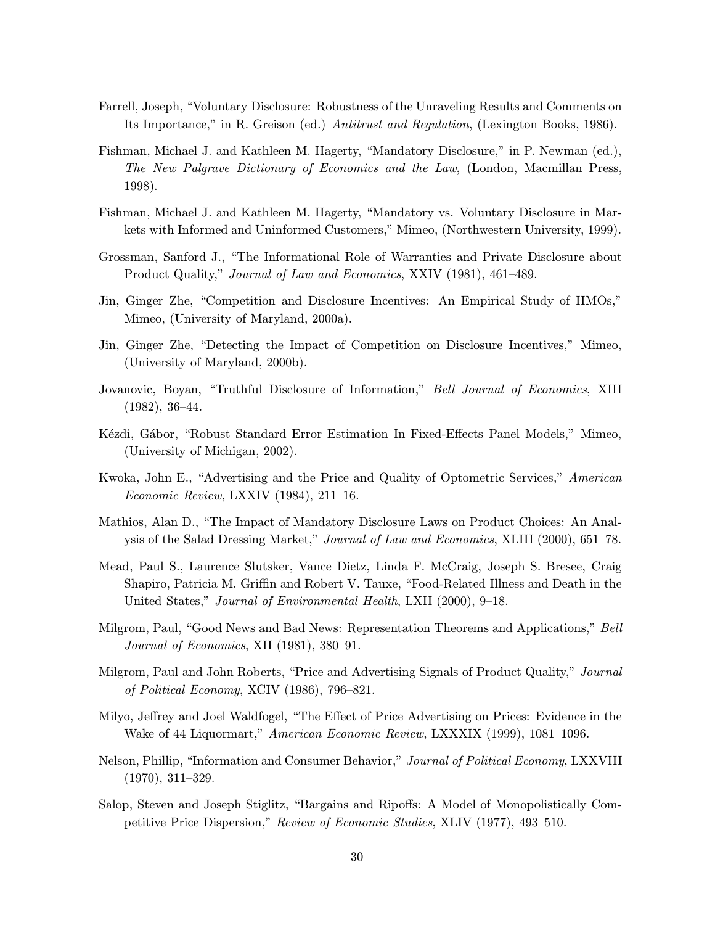- Farrell, Joseph, "Voluntary Disclosure: Robustness of the Unraveling Results and Comments on Its Importance," in R. Greison (ed.) Antitrust and Regulation, (Lexington Books, 1986).
- Fishman, Michael J. and Kathleen M. Hagerty, "Mandatory Disclosure," in P. Newman (ed.), The New Palgrave Dictionary of Economics and the Law, (London, Macmillan Press, 1998).
- Fishman, Michael J. and Kathleen M. Hagerty, "Mandatory vs. Voluntary Disclosure in Markets with Informed and Uninformed Customers," Mimeo, (Northwestern University, 1999).
- Grossman, Sanford J., "The Informational Role of Warranties and Private Disclosure about Product Quality," Journal of Law and Economics, XXIV (1981), 461–489.
- Jin, Ginger Zhe, "Competition and Disclosure Incentives: An Empirical Study of HMOs," Mimeo, (University of Maryland, 2000a).
- Jin, Ginger Zhe, "Detecting the Impact of Competition on Disclosure Incentives," Mimeo, (University of Maryland, 2000b).
- Jovanovic, Boyan, "Truthful Disclosure of Information," Bell Journal of Economics, XIII (1982), 36–44.
- Kézdi, Gábor, "Robust Standard Error Estimation In Fixed-Effects Panel Models," Mimeo, (University of Michigan, 2002).
- Kwoka, John E., "Advertising and the Price and Quality of Optometric Services," American Economic Review, LXXIV (1984), 211–16.
- Mathios, Alan D., "The Impact of Mandatory Disclosure Laws on Product Choices: An Analysis of the Salad Dressing Market," Journal of Law and Economics, XLIII (2000), 651–78.
- Mead, Paul S., Laurence Slutsker, Vance Dietz, Linda F. McCraig, Joseph S. Bresee, Craig Shapiro, Patricia M. Griffin and Robert V. Tauxe, "Food-Related Illness and Death in the United States," Journal of Environmental Health, LXII (2000), 9–18.
- Milgrom, Paul, "Good News and Bad News: Representation Theorems and Applications," Bell Journal of Economics, XII (1981), 380–91.
- Milgrom, Paul and John Roberts, "Price and Advertising Signals of Product Quality," Journal of Political Economy, XCIV (1986), 796–821.
- Milyo, Jeffrey and Joel Waldfogel, "The Effect of Price Advertising on Prices: Evidence in the Wake of 44 Liquormart," American Economic Review, LXXXIX (1999), 1081–1096.
- Nelson, Phillip, "Information and Consumer Behavior," Journal of Political Economy, LXXVIII (1970), 311–329.
- Salop, Steven and Joseph Stiglitz, "Bargains and Ripoffs: A Model of Monopolistically Competitive Price Dispersion," Review of Economic Studies, XLIV (1977), 493–510.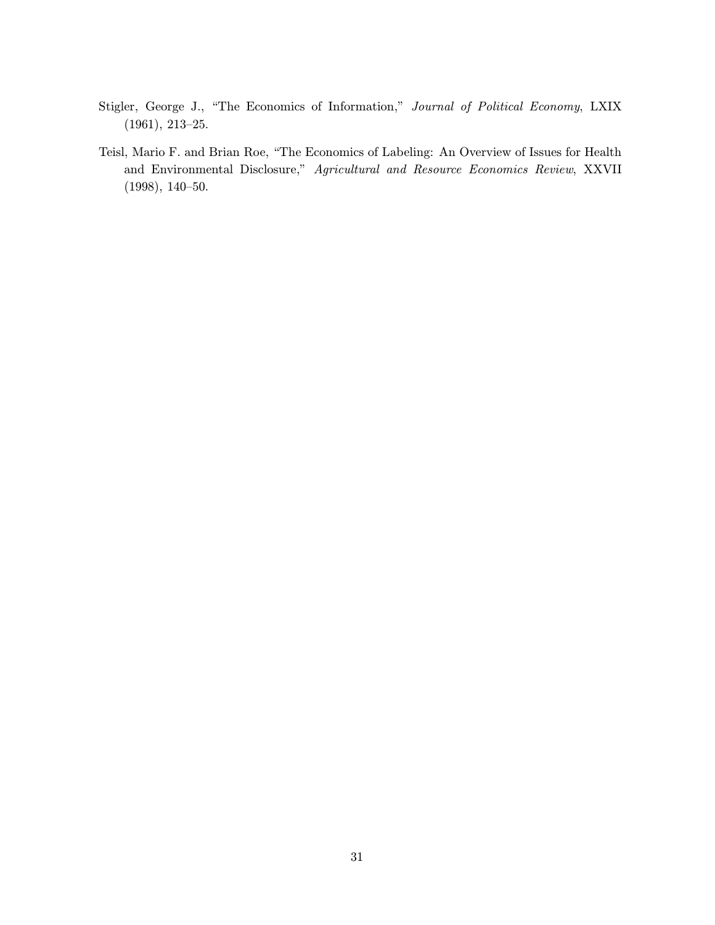- Stigler, George J., "The Economics of Information," Journal of Political Economy, LXIX (1961), 213–25.
- Teisl, Mario F. and Brian Roe, "The Economics of Labeling: An Overview of Issues for Health and Environmental Disclosure," Agricultural and Resource Economics Review, XXVII (1998), 140–50.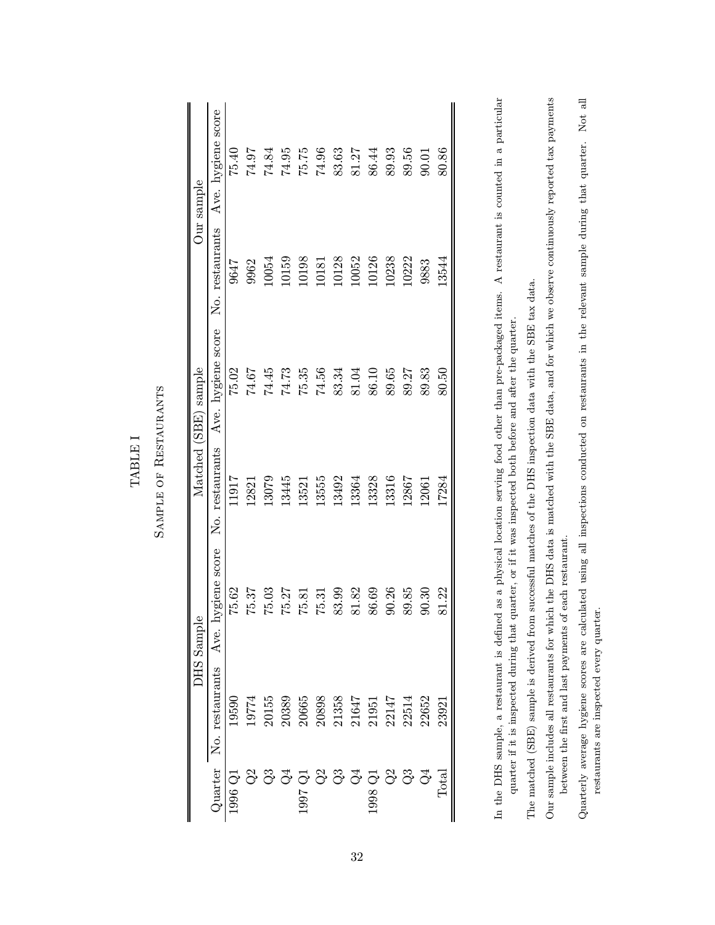|                      |                         | ≌<br>DHS Sampl        |                 | Matched (SBE) sample |                 | Our sample         |
|----------------------|-------------------------|-----------------------|-----------------|----------------------|-----------------|--------------------|
|                      | Quarter No. restaurants | hygiene score<br>Ave. | No. restaurants | Ave. hygiene score   | No. restaurants | Ave. hygiene score |
| 1996 <sub>Q1</sub>   | 19590                   | 75.62                 | 11917           | 75.02                | 7196            | 75.40              |
| ನಿ                   | 19774                   | 75.37                 | 12821           | 74.67                | 9962            | 74.97              |
| ී                    | 20155                   | 75.03                 | 13079           | 74.45                | 10054           | 74.84              |
| $\Im$                | 20389                   | 75.27                 | 13445           | 74.73                | 10159           | 74.95              |
| 1997 Q1              | 20665                   | 75.81                 | 13521           | 75.35                | 10198           | 75.75              |
| $\Im$                | 20898                   | 75.31                 | 13555           | 74.56                | 10181           | 74.96              |
| ී                    | 21358<br>21647          | 83.99                 | 13492           | 83.34                | 10128           | 83.63              |
| $\Im$                |                         | 81.82                 | 13364           | 81.04                | 10052           | 81.27              |
| $1998$ $\mathrm{Q}1$ | 21951                   | 86.69                 | 13328           | 86.10                | 10126           | 86.44              |
| ි                    | 22147                   | 90.26                 | 13316           | 89.65                | 10238           | 89.93              |
| ನಿ                   | 22514                   | 89.85                 | 12867           | 89.27                | 10222           | 89.56              |
|                      | 22652                   | 90.30                 | 12061           | 89.83                | 9883            | 90.01              |
| $\rm{Total}$         | 23921                   | 81.22                 | 17284           | 80.50                | 13544           | 80.86              |
|                      |                         |                       |                 |                      |                 |                    |

| E<br>ĩ.<br>Ì<br>ř      |  |
|------------------------|--|
| E                      |  |
| PLE <sup>-</sup><br>Ĩ. |  |

TABLE I

**TABLE I** 

In the DHS sample, a restaurant is defined as a physical location serving food other than pre-packaged items. A restaurant is counted in a particular In the DHS sample, a restaurant is defined as a physical location serving food other than pre-packaged items. A restaurant is counted in a particular quarter if it is inspected during that quarter, or if it was inspected both before and after the quarter. quarter if it is inspected during that quarter, or if it was inspected both before and after the quarter.

The matched (SBE) sample is derived from successful matches of the DHS inspection data with the SBE tax data. The matched (SBE) sample is derived from successful matches of the DHS inspection data with the SBE tax data. Our sample includes all restaurants for which the DHS data is matched with the SBE data, and for which we observe continuously reported tax payments Our sample includes all restaurants for which the DHS data is matched with the SBE data, and for which we observe continuously reported tax payments between the first and last payments of each restaurant. between the first and last payments of each restaurant.

Quarterly average hygiene scores are calculated using all inspections conducted on restaurants in the relevant sample during that quarter. Not all Quarterly average hygiene scores are calculated using all inspections conducted on restaurants in the relevant sample during that quarter. Not all restaurants are inspected every quarter. restaurants are inspected every quarter.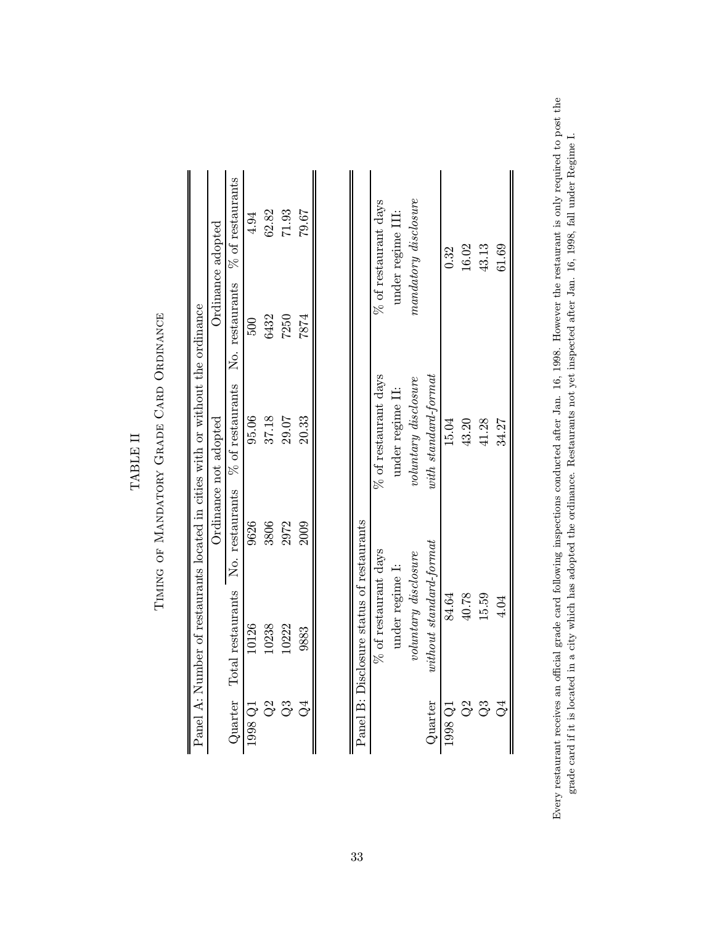| TABLE II | ξ<br>RADE CARD ORDINAN<br>TIMING OF MANDATORY GI |
|----------|--------------------------------------------------|
|          |                                                  |
|          |                                                  |

|     | Panel A: Number of restaurants located in cities with or without the ordinance |      |                                                                         |                  |                   |
|-----|--------------------------------------------------------------------------------|------|-------------------------------------------------------------------------|------------------|-------------------|
|     |                                                                                |      | Ordinance not adopted                                                   |                  | Ordinance adopted |
|     | Quarter Total restaurants                                                      |      | No. restaurants $\%$ of restaurants No. restaurants $\%$ of restaurants |                  |                   |
| 998 | 10126                                                                          | 9626 | 95.06                                                                   | $\frac{500}{50}$ | 4.94              |
|     | 10238                                                                          | 3806 | 37.18                                                                   | 3432             | 62.82             |
| ွှ  | 0222                                                                           | 2972 | 29.07                                                                   | 7250             | 71.93             |
| Ğ4  | 9883                                                                           | 2009 | 20.33                                                                   | 7874             | 79.67             |

|                                           | $%$ of restaurant days  | under regime III: | $m and a tory\ disclosure$       |                                                | 0.32              | 16.02 | 43.13 | 61.69          |
|-------------------------------------------|-------------------------|-------------------|----------------------------------|------------------------------------------------|-------------------|-------|-------|----------------|
|                                           |                         |                   |                                  |                                                |                   |       |       |                |
|                                           | $\%$ of restaurant days | under regime II:  | voluntary disclosure             | $with\ standard$                               | 15.04             | 43.20 | 41.28 | 34.27          |
| Panel B: Disclosure status of restaurants | of restaurant days<br>R | under regime I:   | $v_{\text{oluntary}}$ disclosure | $out\ standard\footnotesize\centerdot$<br>with | 84.64             | 40.78 | 15.59 | 4.04           |
|                                           |                         |                   |                                  | .<br>Juarter                                   | 198 <sub>Q1</sub> |       | ි     | $\mathbb{Q}^4$ |

Every restaurant receives an official grade card following inspections conducted after Jan. 16, 1998. However the restaurant is only required to post the Every restaurant receives an official grade card following inspections conducted after Jan. 16, 1998. However the restaurant is only required to post the grade card if it is located in a city which has adopted the ordinance. Restaurants not yet inspected after Jan. 16, 1998, fall under Regime I. grade card if it is located in a city which has adopted the ordinance. Restaurants not yet inspected after Jan. 16, 1998, fall under Regime I.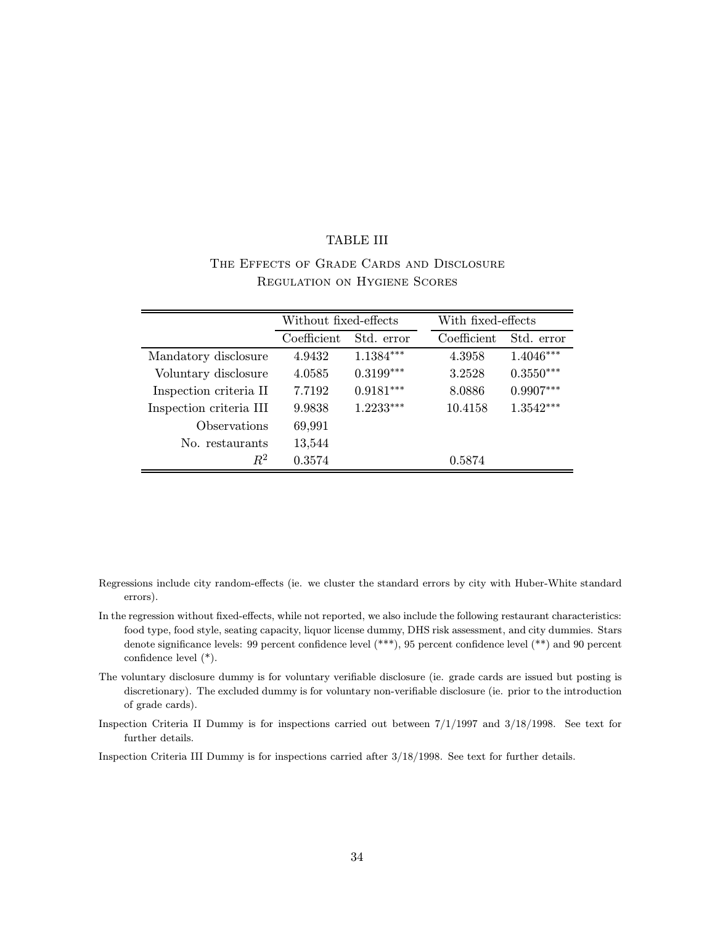# TABLE III

|                         | Without fixed-effects |             | With fixed-effects |             |
|-------------------------|-----------------------|-------------|--------------------|-------------|
|                         | Coefficient           | Std. error  | Coefficient        | Std. error  |
| Mandatory disclosure    | 4.9432                | $1.1384***$ | 4.3958             | $1.4046***$ |
| Voluntary disclosure    | 4.0585                | $0.3199***$ | 3.2528             | $0.3550***$ |
| Inspection criteria II  | 7.7192                | $0.9181***$ | 8.0886             | $0.9907***$ |
| Inspection criteria III | 9.9838                | $1.2233***$ | 10.4158            | $1.3542***$ |
| Observations            | 69,991                |             |                    |             |
| No. restaurants         | 13,544                |             |                    |             |
| $\,R^2$                 | 0.3574                |             | 0.5874             |             |

# The Effects of Grade Cards and Disclosure Regulation on Hygiene Scores

- Regressions include city random-effects (ie. we cluster the standard errors by city with Huber-White standard errors).
- In the regression without fixed-effects, while not reported, we also include the following restaurant characteristics: food type, food style, seating capacity, liquor license dummy, DHS risk assessment, and city dummies. Stars denote significance levels: 99 percent confidence level (\*\*\*), 95 percent confidence level (\*\*) and 90 percent confidence level (\*).
- The voluntary disclosure dummy is for voluntary verifiable disclosure (ie. grade cards are issued but posting is discretionary). The excluded dummy is for voluntary non-verifiable disclosure (ie. prior to the introduction of grade cards).
- Inspection Criteria II Dummy is for inspections carried out between 7/1/1997 and 3/18/1998. See text for further details.

Inspection Criteria III Dummy is for inspections carried after 3/18/1998. See text for further details.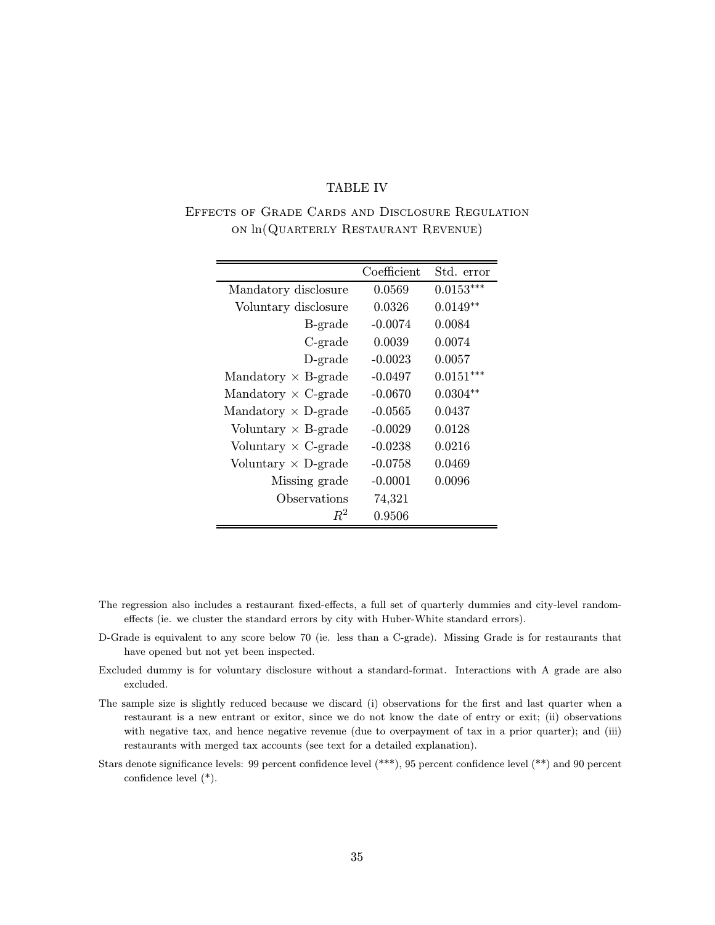# TABLE IV

Effects of Grade Cards and Disclosure Regulation on ln(Quarterly Restaurant Revenue)

|                            | Coefficient | Std. error  |
|----------------------------|-------------|-------------|
| Mandatory disclosure       | 0.0569      | $0.0153***$ |
| Voluntary disclosure       | 0.0326      | $0.0149**$  |
| B-grade                    | -0.0074     | 0.0084      |
| C-grade                    | 0.0039      | 0.0074      |
| $D\text{-grade}$           | $-0.0023$   | 0.0057      |
| Mandatory $\times$ B-grade | $-0.0497$   | $0.0151***$ |
| Mandatory $\times$ C-grade | $-0.0670$   | $0.0304**$  |
| Mandatory $\times$ D-grade | $-0.0565$   | 0.0437      |
| Voluntary $\times$ B-grade | $-0.0029$   | 0.0128      |
| Voluntary $\times$ C-grade | $-0.0238$   | 0.0216      |
| Voluntary $\times$ D-grade | $-0.0758$   | 0.0469      |
| Missing grade              | $-0.0001$   | 0.0096      |
| Observations               | 74,321      |             |
| $R^2$                      | 0.9506      |             |

- The regression also includes a restaurant fixed-effects, a full set of quarterly dummies and city-level randomeffects (ie. we cluster the standard errors by city with Huber-White standard errors).
- D-Grade is equivalent to any score below 70 (ie. less than a C-grade). Missing Grade is for restaurants that have opened but not yet been inspected.
- Excluded dummy is for voluntary disclosure without a standard-format. Interactions with A grade are also excluded.
- The sample size is slightly reduced because we discard (i) observations for the first and last quarter when a restaurant is a new entrant or exitor, since we do not know the date of entry or exit; (ii) observations with negative tax, and hence negative revenue (due to overpayment of tax in a prior quarter); and (iii) restaurants with merged tax accounts (see text for a detailed explanation).
- Stars denote significance levels: 99 percent confidence level (\*\*\*), 95 percent confidence level (\*\*) and 90 percent confidence level (\*).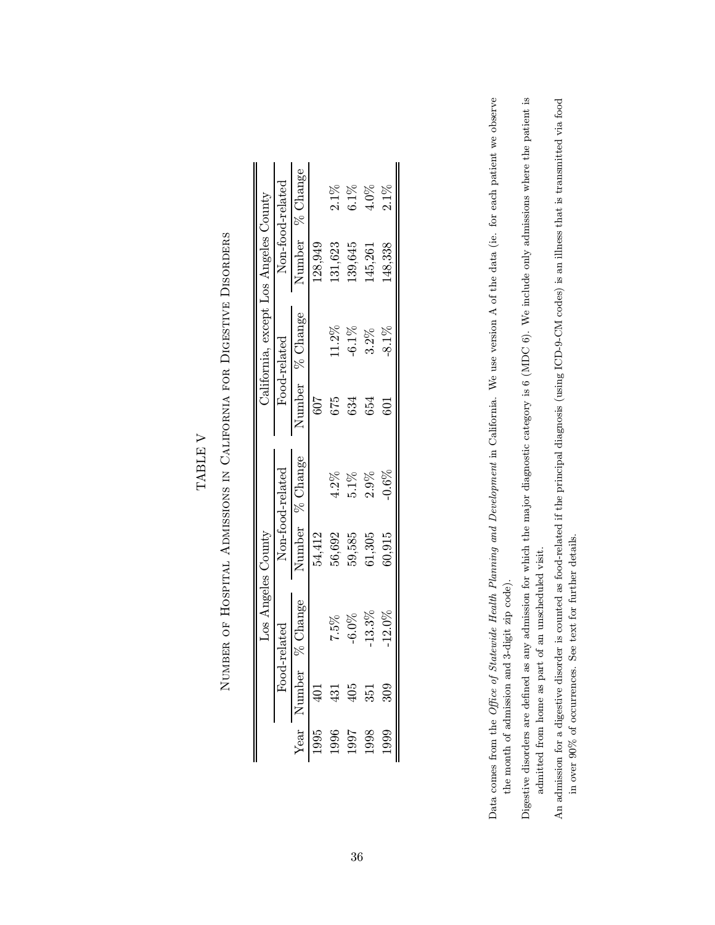| ŗ.<br>÷,<br>Γ |  |
|---------------|--|
|               |  |

| i                             |  |
|-------------------------------|--|
| j<br>i                        |  |
| I                             |  |
|                               |  |
| I<br>l                        |  |
| l                             |  |
| Ò                             |  |
|                               |  |
| ֕                             |  |
| ļ                             |  |
|                               |  |
| I<br>l                        |  |
|                               |  |
| i<br>l                        |  |
| İ<br>֕                        |  |
| ì                             |  |
| l                             |  |
|                               |  |
| Ì<br>l                        |  |
|                               |  |
| I<br>١                        |  |
|                               |  |
| I<br>i                        |  |
| Í<br>١                        |  |
| j                             |  |
| l                             |  |
|                               |  |
| l                             |  |
|                               |  |
| l<br>l                        |  |
| ļ<br>i                        |  |
| $\overline{\phantom{a}}$<br>١ |  |
| l                             |  |
| I                             |  |
| l<br>i                        |  |
| <br> <br> <br> <br>i          |  |
|                               |  |
| ì<br>١                        |  |
|                               |  |
| ֦֚<br>j                       |  |
|                               |  |
|                               |  |
| ׇ֚֘֝֬֝                        |  |
| Ï                             |  |
| l<br>ï                        |  |
| l                             |  |
| Ì<br>l                        |  |
|                               |  |
| Ì                             |  |
|                               |  |
|                               |  |
| ١<br>I                        |  |
| ĺ<br>i                        |  |
|                               |  |
| ۱                             |  |
|                               |  |
| i                             |  |
| l<br>ׅ֘֒                      |  |
|                               |  |
| j<br>į                        |  |
| <br> <br> <br>j               |  |
| Í                             |  |
| ļ<br>i                        |  |
|                               |  |
| I<br>l                        |  |
| Ì                             |  |
|                               |  |
|                               |  |
| j<br>l                        |  |
| I<br>١                        |  |
| I<br>۱<br>i                   |  |
| i                             |  |
|                               |  |
| ו<br>ו<br>I                   |  |
| I<br>l                        |  |

|                                                                                                                                                                                                                                                                                                                                                                                                                | Los Angeles County |        |                  |     | California, except Los Angeles County |         |                                             |
|----------------------------------------------------------------------------------------------------------------------------------------------------------------------------------------------------------------------------------------------------------------------------------------------------------------------------------------------------------------------------------------------------------------|--------------------|--------|------------------|-----|---------------------------------------|---------|---------------------------------------------|
|                                                                                                                                                                                                                                                                                                                                                                                                                |                    |        | Non-food-related |     | $_{\rm Food\text{-}related}$          |         | $\sqrt{\rm on}\ {\rm food}\ {\rm -related}$ |
|                                                                                                                                                                                                                                                                                                                                                                                                                | $%$ Change         |        | Number % Change  |     | Number % Change                       |         | Number % Change                             |
|                                                                                                                                                                                                                                                                                                                                                                                                                |                    | 54,412 |                  | 607 |                                       | 128,949 |                                             |
|                                                                                                                                                                                                                                                                                                                                                                                                                | 7.5%               | 56,692 | 4.2%             | 675 | 11.2%                                 | 131,623 | $2.1\%$                                     |
|                                                                                                                                                                                                                                                                                                                                                                                                                | $-6.0\%$           | 59,585 |                  | 634 | $-6.1\%$                              | .39,645 | 5.1%                                        |
|                                                                                                                                                                                                                                                                                                                                                                                                                | $13.3\%$           | 61,305 | 2.9%             | 654 | $3.2\%$                               | 45,261  | 4.0%                                        |
| $\begin{tabular}{l ccc} \hline \textbf{Food-related} & \textbf{Kood-related} & \textbf{1995} & \textbf{7004-related} \\ \hline \textbf{1995} & \textbf{1995} & \textbf{401} & \textbf{906} & \textbf{1996} & \textbf{1997} & \textbf{1997} & \textbf{1997} & \textbf{1955} \\ \hline \textbf{1997} & \textbf{195} & \textbf{195} & \textbf{351} & \textbf{1988} & \textbf{351} & \textbf{1999} & \textbf{1999$ | $12.0\%$           | 50,915 | $0.6\%$          | 601 | $-8.1\%$                              | 48,338  | 2.1%                                        |

- Data comes from the Office of Statewide Health Planning and Development in California. We use version A of the data (ie. for each patient we observe Data comes from the *Office of Statewide Health Planning and Development* in California. We use version A of the data (ie. for each patient we observe the month of admission and 3-digit zip code). the month of admission and 3-digit zip code).
- Digestive disorders are defined as any admission for which the major diagnostic category is  $6$  (MDC  $6$ ). We include only admissions where the patient is admitted from home as part of an unscheduled visit. Digestive disorders are defined as any admission for which the major diagnostic category is 6 (MDC 6). We include only admissions where the patient is admitted from home as part of an unscheduled visit.
- An admission for a digestive disorder is counted as food-related if the principal diagnosis (using ICD-9-CM codes) is an illness that is transmitted via food An admission for a digestive disorder is counted as food-related if the principal diagnosis (using ICD-9-CM codes) is an illness that is transmitted via food in over  $90\%$  of occurrences. See text for further details. in over 90% of occurrences. See text for further details.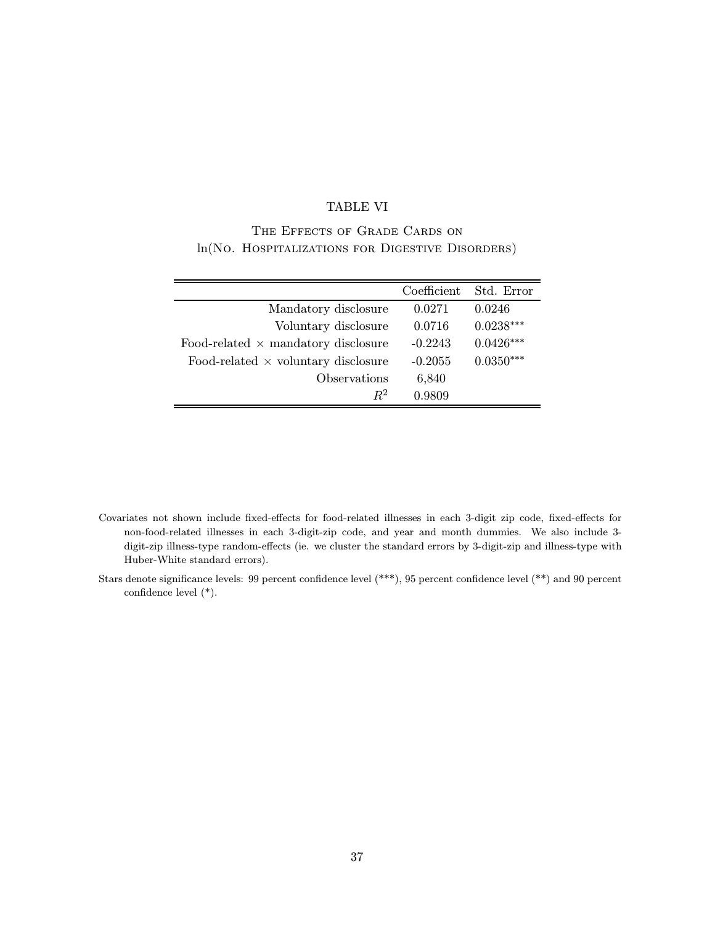# TABLE VI

# THE EFFECTS OF GRADE CARDS ON ln(No. Hospitalizations for Digestive Disorders)

|                                            | Coefficient | Std. Error  |
|--------------------------------------------|-------------|-------------|
| Mandatory disclosure                       | 0.0271      | 0.0246      |
| Voluntary disclosure                       | 0.0716      | $0.0238***$ |
| Food-related $\times$ mandatory disclosure | $-0.2243$   | $0.0426***$ |
| Food-related $\times$ voluntary disclosure | $-0.2055$   | $0.0350***$ |
| Observations                               | 6,840       |             |
| $R^2$                                      | 0.9809      |             |
|                                            |             |             |

- Covariates not shown include fixed-effects for food-related illnesses in each 3-digit zip code, fixed-effects for non-food-related illnesses in each 3-digit-zip code, and year and month dummies. We also include 3 digit-zip illness-type random-effects (ie. we cluster the standard errors by 3-digit-zip and illness-type with Huber-White standard errors).
- Stars denote significance levels: 99 percent confidence level (\*\*\*), 95 percent confidence level (\*\*) and 90 percent confidence level (\*).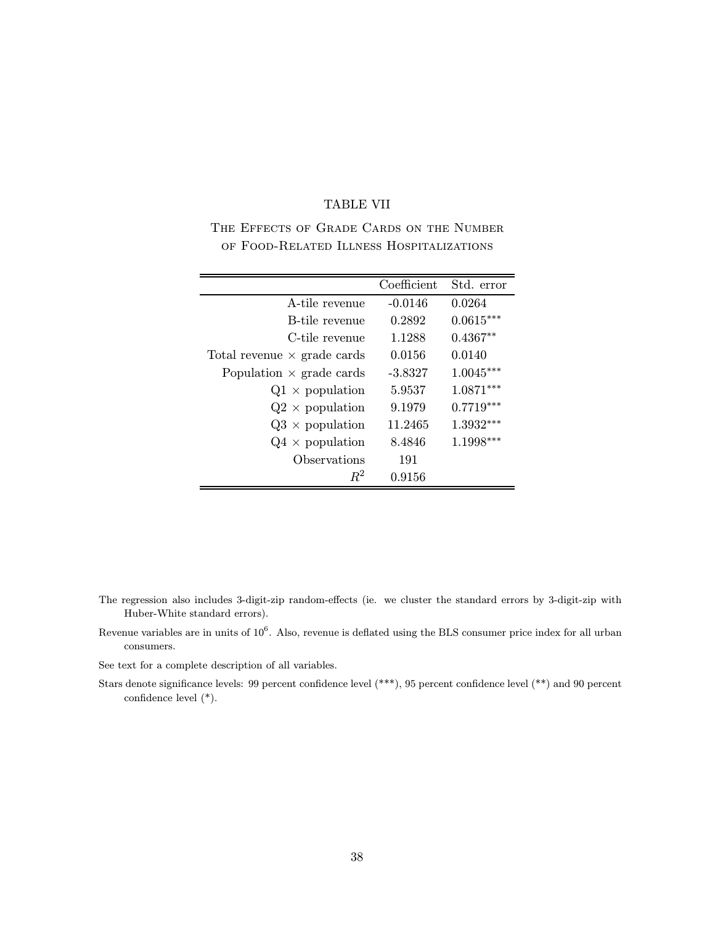# TABLE VII

The Effects of Grade Cards on the Number of Food-Related Illness Hospitalizations

|                                    | Coefficient | Std. error  |
|------------------------------------|-------------|-------------|
| A-tile revenue                     | $-0.0146$   | 0.0264      |
| B-tile revenue                     | 0.2892      | $0.0615***$ |
| C-tile revenue                     | 1.1288      | $0.4367**$  |
| Total revenue $\times$ grade cards | 0.0156      | 0.0140      |
| Population $\times$ grade cards    | $-3.8327$   | $1.0045***$ |
| $Q1 \times$ population             | 5.9537      | $1.0871***$ |
| $Q2 \times$ population             | 9.1979      | $0.7719***$ |
| $Q3 \times$ population             | 11.2465     | 1.3932***   |
| $Q4 \times$ population             | 8.4846      | 1.1998***   |
| Observations                       | 191         |             |
| $R^2$                              | 0.9156      |             |

- Revenue variables are in units of  $10^6$ . Also, revenue is deflated using the BLS consumer price index for all urban consumers.
- See text for a complete description of all variables.
- Stars denote significance levels: 99 percent confidence level (\*\*\*), 95 percent confidence level (\*\*) and 90 percent confidence level (\*).

The regression also includes 3-digit-zip random-effects (ie. we cluster the standard errors by 3-digit-zip with Huber-White standard errors).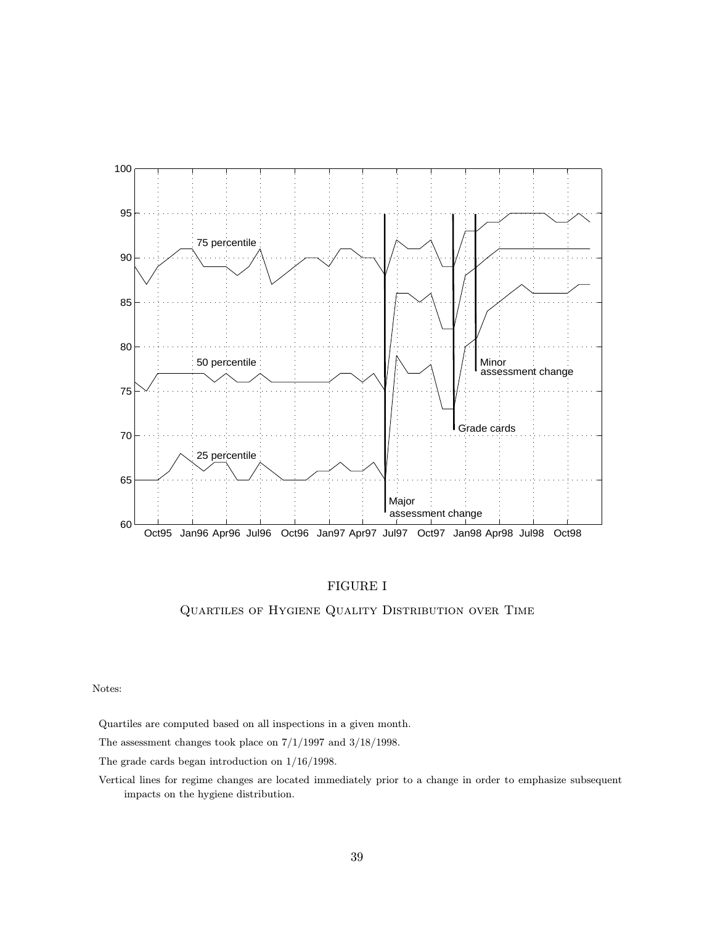

# FIGURE I

## Quartiles of Hygiene Quality Distribution over Time

Notes:

Quartiles are computed based on all inspections in a given month.

The assessment changes took place on 7/1/1997 and 3/18/1998.

The grade cards began introduction on 1/16/1998.

Vertical lines for regime changes are located immediately prior to a change in order to emphasize subsequent impacts on the hygiene distribution.